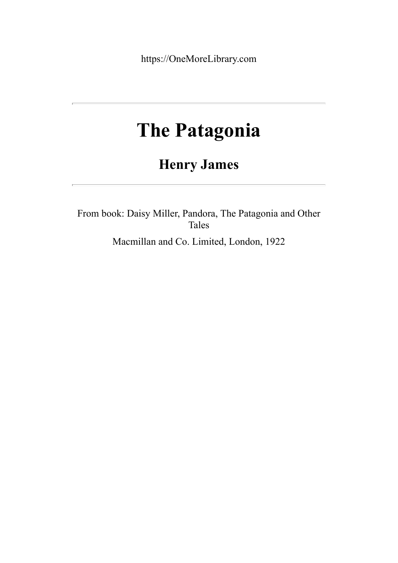https://OneMoreLibrary.com

## **The Patagonia**

## **Henry James**

From book: Daisy Miller, Pandora, The Patagonia and Other Tales

Macmillan and Co. Limited, London, 1922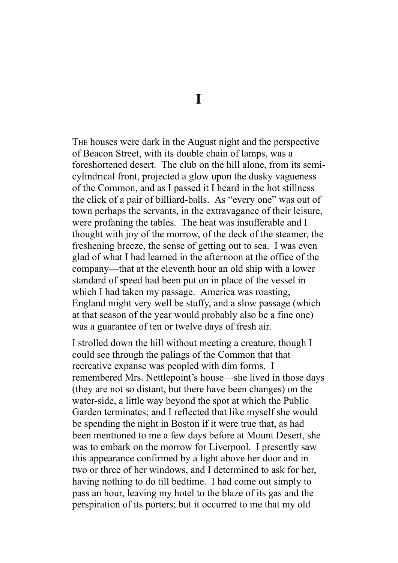**I**

THE houses were dark in the August night and the perspective of Beacon Street, with its double chain of lamps, was a foreshortened desert. The club on the hill alone, from its semicylindrical front, projected a glow upon the dusky vagueness of the Common, and as I passed it I heard in the hot stillness the click of a pair of billiard-balls. As "every one" was out of town perhaps the servants, in the extravagance of their leisure, were profaning the tables. The heat was insufferable and I thought with joy of the morrow, of the deck of the steamer, the freshening breeze, the sense of getting out to sea. I was even glad of what I had learned in the afternoon at the office of the company—that at the eleventh hour an old ship with a lower standard of speed had been put on in place of the vessel in which I had taken my passage. America was roasting, England might very well be stuffy, and a slow passage (which at that season of the year would probably also be a fine one) was a guarantee of ten or twelve days of fresh air.

I strolled down the hill without meeting a creature, though I could see through the palings of the Common that that recreative expanse was peopled with dim forms. I remembered Mrs. Nettlepoint's house—she lived in those days (they are not so distant, but there have been changes) on the water-side, a little way beyond the spot at which the Public Garden terminates; and I reflected that like myself she would be spending the night in Boston if it were true that, as had been mentioned to me a few days before at Mount Desert, she was to embark on the morrow for Liverpool. I presently saw this appearance confirmed by a light above her door and in two or three of her windows, and I determined to ask for her, having nothing to do till bedtime. I had come out simply to pass an hour, leaving my hotel to the blaze of its gas and the perspiration of its porters; but it occurred to me that my old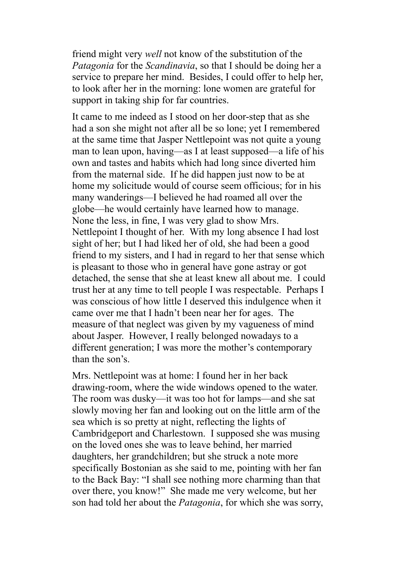friend might very *well* not know of the substitution of the *Patagonia* for the *Scandinavia*, so that I should be doing her a service to prepare her mind. Besides, I could offer to help her, to look after her in the morning: lone women are grateful for support in taking ship for far countries.

It came to me indeed as I stood on her door-step that as she had a son she might not after all be so lone; yet I remembered at the same time that Jasper Nettlepoint was not quite a young man to lean upon, having—as I at least supposed—a life of his own and tastes and habits which had long since diverted him from the maternal side. If he did happen just now to be at home my solicitude would of course seem officious; for in his many wanderings—I believed he had roamed all over the globe—he would certainly have learned how to manage. None the less, in fine, I was very glad to show Mrs. Nettlepoint I thought of her. With my long absence I had lost sight of her; but I had liked her of old, she had been a good friend to my sisters, and I had in regard to her that sense which is pleasant to those who in general have gone astray or got detached, the sense that she at least knew all about me. I could trust her at any time to tell people I was respectable. Perhaps I was conscious of how little I deserved this indulgence when it came over me that I hadn't been near her for ages. The measure of that neglect was given by my vagueness of mind about Jasper. However, I really belonged nowadays to a different generation; I was more the mother's contemporary than the son's.

Mrs. Nettlepoint was at home: I found her in her back drawing-room, where the wide windows opened to the water. The room was dusky—it was too hot for lamps—and she sat slowly moving her fan and looking out on the little arm of the sea which is so pretty at night, reflecting the lights of Cambridgeport and Charlestown. I supposed she was musing on the loved ones she was to leave behind, her married daughters, her grandchildren; but she struck a note more specifically Bostonian as she said to me, pointing with her fan to the Back Bay: "I shall see nothing more charming than that over there, you know!" She made me very welcome, but her son had told her about the *Patagonia*, for which she was sorry,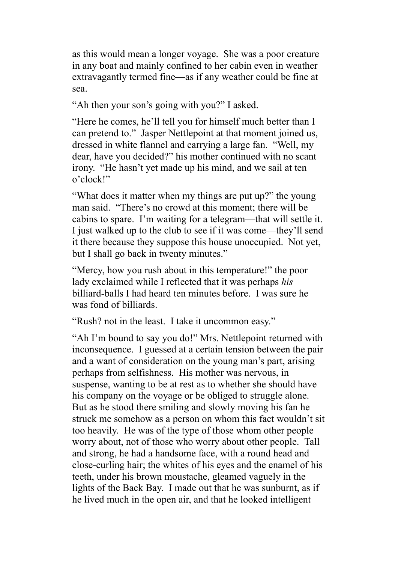as this would mean a longer voyage. She was a poor creature in any boat and mainly confined to her cabin even in weather extravagantly termed fine—as if any weather could be fine at sea.

"Ah then your son's going with you?" I asked.

"Here he comes, he'll tell you for himself much better than I can pretend to." Jasper Nettlepoint at that moment joined us, dressed in white flannel and carrying a large fan. "Well, my dear, have you decided?" his mother continued with no scant irony. "He hasn't yet made up his mind, and we sail at ten o'clock!"

"What does it matter when my things are put up?" the young man said. "There's no crowd at this moment; there will be cabins to spare. I'm waiting for a telegram—that will settle it. I just walked up to the club to see if it was come—they'll send it there because they suppose this house unoccupied. Not yet, but I shall go back in twenty minutes."

"Mercy, how you rush about in this temperature!" the poor lady exclaimed while I reflected that it was perhaps *his* billiard-balls I had heard ten minutes before. I was sure he was fond of billiards.

"Rush? not in the least. I take it uncommon easy."

"Ah I'm bound to say you do!" Mrs. Nettlepoint returned with inconsequence. I guessed at a certain tension between the pair and a want of consideration on the young man's part, arising perhaps from selfishness. His mother was nervous, in suspense, wanting to be at rest as to whether she should have his company on the voyage or be obliged to struggle alone. But as he stood there smiling and slowly moving his fan he struck me somehow as a person on whom this fact wouldn't sit too heavily. He was of the type of those whom other people worry about, not of those who worry about other people. Tall and strong, he had a handsome face, with a round head and close-curling hair; the whites of his eyes and the enamel of his teeth, under his brown moustache, gleamed vaguely in the lights of the Back Bay. I made out that he was sunburnt, as if he lived much in the open air, and that he looked intelligent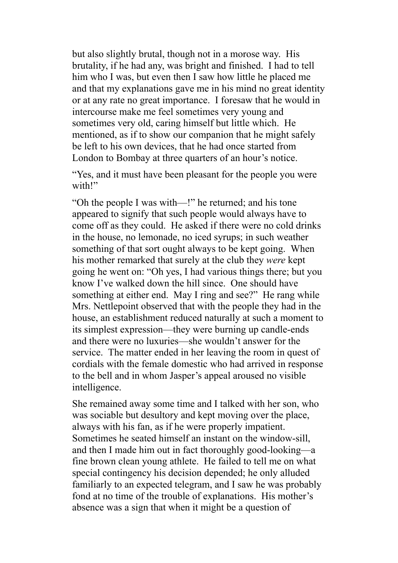but also slightly brutal, though not in a morose way. His brutality, if he had any, was bright and finished. I had to tell him who I was, but even then I saw how little he placed me and that my explanations gave me in his mind no great identity or at any rate no great importance. I foresaw that he would in intercourse make me feel sometimes very young and sometimes very old, caring himself but little which. He mentioned, as if to show our companion that he might safely be left to his own devices, that he had once started from London to Bombay at three quarters of an hour's notice.

"Yes, and it must have been pleasant for the people you were with!"

"Oh the people I was with—!" he returned; and his tone appeared to signify that such people would always have to come off as they could. He asked if there were no cold drinks in the house, no lemonade, no iced syrups; in such weather something of that sort ought always to be kept going. When his mother remarked that surely at the club they *were* kept going he went on: "Oh yes, I had various things there; but you know I've walked down the hill since. One should have something at either end. May I ring and see?" He rang while Mrs. Nettlepoint observed that with the people they had in the house, an establishment reduced naturally at such a moment to its simplest expression—they were burning up candle-ends and there were no luxuries—she wouldn't answer for the service. The matter ended in her leaving the room in quest of cordials with the female domestic who had arrived in response to the bell and in whom Jasper's appeal aroused no visible intelligence.

She remained away some time and I talked with her son, who was sociable but desultory and kept moving over the place, always with his fan, as if he were properly impatient. Sometimes he seated himself an instant on the window-sill, and then I made him out in fact thoroughly good-looking—a fine brown clean young athlete. He failed to tell me on what special contingency his decision depended; he only alluded familiarly to an expected telegram, and I saw he was probably fond at no time of the trouble of explanations. His mother's absence was a sign that when it might be a question of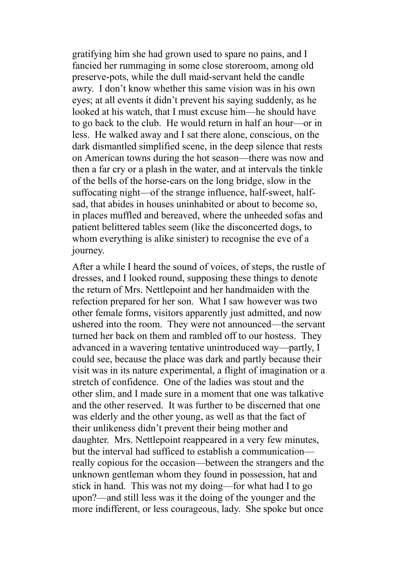gratifying him she had grown used to spare no pains, and I fancied her rummaging in some close storeroom, among old preserve-pots, while the dull maid-servant held the candle awry. I don't know whether this same vision was in his own eyes; at all events it didn't prevent his saying suddenly, as he looked at his watch, that I must excuse him—he should have to go back to the club. He would return in half an hour—or in less. He walked away and I sat there alone, conscious, on the dark dismantled simplified scene, in the deep silence that rests on American towns during the hot season—there was now and then a far cry or a plash in the water, and at intervals the tinkle of the bells of the horse-cars on the long bridge, slow in the suffocating night—of the strange influence, half-sweet, halfsad, that abides in houses uninhabited or about to become so, in places muffled and bereaved, where the unheeded sofas and patient belittered tables seem (like the disconcerted dogs, to whom everything is alike sinister) to recognise the eve of a journey.

After a while I heard the sound of voices, of steps, the rustle of dresses, and I looked round, supposing these things to denote the return of Mrs. Nettlepoint and her handmaiden with the refection prepared for her son. What I saw however was two other female forms, visitors apparently just admitted, and now ushered into the room. They were not announced—the servant turned her back on them and rambled off to our hostess. They advanced in a wavering tentative unintroduced way—partly, I could see, because the place was dark and partly because their visit was in its nature experimental, a flight of imagination or a stretch of confidence. One of the ladies was stout and the other slim, and I made sure in a moment that one was talkative and the other reserved. It was further to be discerned that one was elderly and the other young, as well as that the fact of their unlikeness didn't prevent their being mother and daughter. Mrs. Nettlepoint reappeared in a very few minutes, but the interval had sufficed to establish a communication really copious for the occasion—between the strangers and the unknown gentleman whom they found in possession, hat and stick in hand. This was not my doing—for what had I to go upon?—and still less was it the doing of the younger and the more indifferent, or less courageous, lady. She spoke but once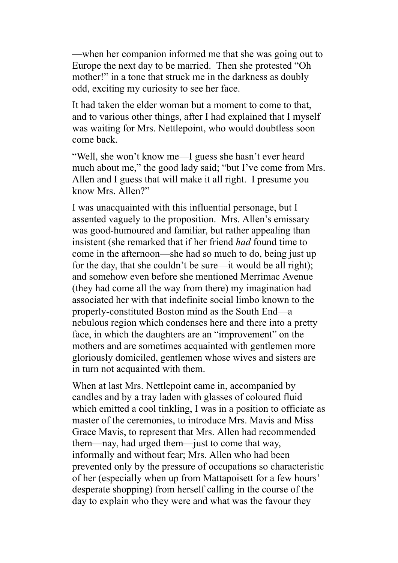—when her companion informed me that she was going out to Europe the next day to be married. Then she protested "Oh mother!" in a tone that struck me in the darkness as doubly odd, exciting my curiosity to see her face.

It had taken the elder woman but a moment to come to that, and to various other things, after I had explained that I myself was waiting for Mrs. Nettlepoint, who would doubtless soon come back.

"Well, she won't know me—I guess she hasn't ever heard much about me," the good lady said; "but I've come from Mrs. Allen and I guess that will make it all right. I presume you know Mrs. Allen?"

I was unacquainted with this influential personage, but I assented vaguely to the proposition. Mrs. Allen's emissary was good-humoured and familiar, but rather appealing than insistent (she remarked that if her friend *had* found time to come in the afternoon—she had so much to do, being just up for the day, that she couldn't be sure—it would be all right); and somehow even before she mentioned Merrimac Avenue (they had come all the way from there) my imagination had associated her with that indefinite social limbo known to the properly-constituted Boston mind as the South End—a nebulous region which condenses here and there into a pretty face, in which the daughters are an "improvement" on the mothers and are sometimes acquainted with gentlemen more gloriously domiciled, gentlemen whose wives and sisters are in turn not acquainted with them.

When at last Mrs. Nettlepoint came in, accompanied by candles and by a tray laden with glasses of coloured fluid which emitted a cool tinkling, I was in a position to officiate as master of the ceremonies, to introduce Mrs. Mavis and Miss Grace Mavis, to represent that Mrs. Allen had recommended them—nay, had urged them—just to come that way, informally and without fear; Mrs. Allen who had been prevented only by the pressure of occupations so characteristic of her (especially when up from Mattapoisett for a few hours' desperate shopping) from herself calling in the course of the day to explain who they were and what was the favour they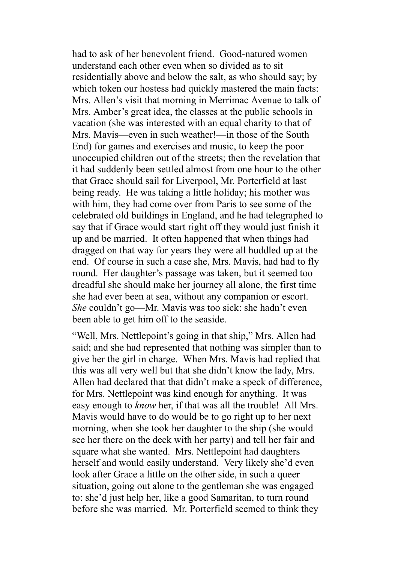had to ask of her benevolent friend. Good-natured women understand each other even when so divided as to sit residentially above and below the salt, as who should say; by which token our hostess had quickly mastered the main facts: Mrs. Allen's visit that morning in Merrimac Avenue to talk of Mrs. Amber's great idea, the classes at the public schools in vacation (she was interested with an equal charity to that of Mrs. Mavis—even in such weather!—in those of the South End) for games and exercises and music, to keep the poor unoccupied children out of the streets; then the revelation that it had suddenly been settled almost from one hour to the other that Grace should sail for Liverpool, Mr. Porterfield at last being ready. He was taking a little holiday; his mother was with him, they had come over from Paris to see some of the celebrated old buildings in England, and he had telegraphed to say that if Grace would start right off they would just finish it up and be married. It often happened that when things had dragged on that way for years they were all huddled up at the end. Of course in such a case she, Mrs. Mavis, had had to fly round. Her daughter's passage was taken, but it seemed too dreadful she should make her journey all alone, the first time she had ever been at sea, without any companion or escort. *She* couldn't go—Mr. Mavis was too sick: she hadn't even been able to get him off to the seaside.

"Well, Mrs. Nettlepoint's going in that ship," Mrs. Allen had said; and she had represented that nothing was simpler than to give her the girl in charge. When Mrs. Mavis had replied that this was all very well but that she didn't know the lady, Mrs. Allen had declared that that didn't make a speck of difference, for Mrs. Nettlepoint was kind enough for anything. It was easy enough to *know* her, if that was all the trouble! All Mrs. Mavis would have to do would be to go right up to her next morning, when she took her daughter to the ship (she would see her there on the deck with her party) and tell her fair and square what she wanted. Mrs. Nettlepoint had daughters herself and would easily understand. Very likely she'd even look after Grace a little on the other side, in such a queer situation, going out alone to the gentleman she was engaged to: she'd just help her, like a good Samaritan, to turn round before she was married. Mr. Porterfield seemed to think they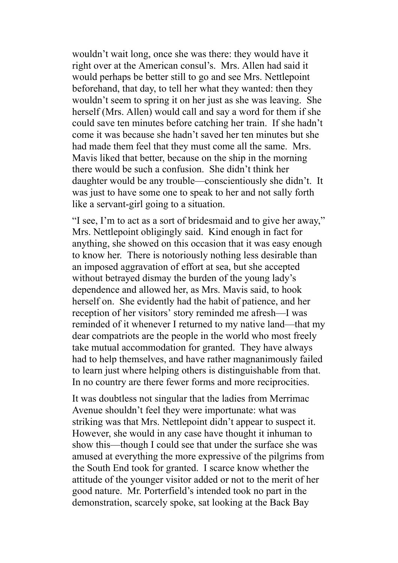wouldn't wait long, once she was there: they would have it right over at the American consul's. Mrs. Allen had said it would perhaps be better still to go and see Mrs. Nettlepoint beforehand, that day, to tell her what they wanted: then they wouldn't seem to spring it on her just as she was leaving. She herself (Mrs. Allen) would call and say a word for them if she could save ten minutes before catching her train. If she hadn't come it was because she hadn't saved her ten minutes but she had made them feel that they must come all the same. Mrs. Mavis liked that better, because on the ship in the morning there would be such a confusion. She didn't think her daughter would be any trouble—conscientiously she didn't. It was just to have some one to speak to her and not sally forth like a servant-girl going to a situation.

"I see, I'm to act as a sort of bridesmaid and to give her away," Mrs. Nettlepoint obligingly said. Kind enough in fact for anything, she showed on this occasion that it was easy enough to know her. There is notoriously nothing less desirable than an imposed aggravation of effort at sea, but she accepted without betrayed dismay the burden of the young lady's dependence and allowed her, as Mrs. Mavis said, to hook herself on. She evidently had the habit of patience, and her reception of her visitors' story reminded me afresh—I was reminded of it whenever I returned to my native land—that my dear compatriots are the people in the world who most freely take mutual accommodation for granted. They have always had to help themselves, and have rather magnanimously failed to learn just where helping others is distinguishable from that. In no country are there fewer forms and more reciprocities.

It was doubtless not singular that the ladies from Merrimac Avenue shouldn't feel they were importunate: what was striking was that Mrs. Nettlepoint didn't appear to suspect it. However, she would in any case have thought it inhuman to show this—though I could see that under the surface she was amused at everything the more expressive of the pilgrims from the South End took for granted. I scarce know whether the attitude of the younger visitor added or not to the merit of her good nature. Mr. Porterfield's intended took no part in the demonstration, scarcely spoke, sat looking at the Back Bay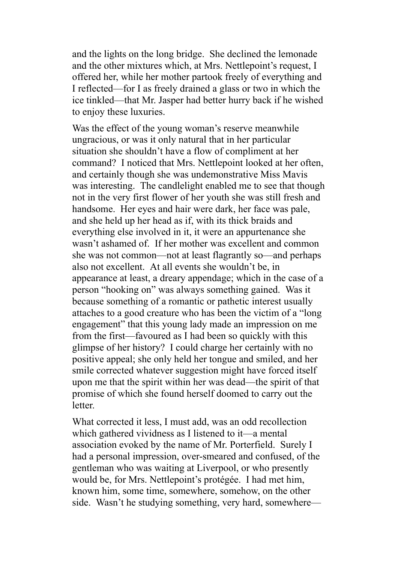and the lights on the long bridge. She declined the lemonade and the other mixtures which, at Mrs. Nettlepoint's request, I offered her, while her mother partook freely of everything and I reflected—for I as freely drained a glass or two in which the ice tinkled—that Mr. Jasper had better hurry back if he wished to enjoy these luxuries.

Was the effect of the young woman's reserve meanwhile ungracious, or was it only natural that in her particular situation she shouldn't have a flow of compliment at her command? I noticed that Mrs. Nettlepoint looked at her often, and certainly though she was undemonstrative Miss Mavis was interesting. The candlelight enabled me to see that though not in the very first flower of her youth she was still fresh and handsome. Her eyes and hair were dark, her face was pale. and she held up her head as if, with its thick braids and everything else involved in it, it were an appurtenance she wasn't ashamed of. If her mother was excellent and common she was not common—not at least flagrantly so—and perhaps also not excellent. At all events she wouldn't be, in appearance at least, a dreary appendage; which in the case of a person "hooking on" was always something gained. Was it because something of a romantic or pathetic interest usually attaches to a good creature who has been the victim of a "long engagement" that this young lady made an impression on me from the first—favoured as I had been so quickly with this glimpse of her history? I could charge her certainly with no positive appeal; she only held her tongue and smiled, and her smile corrected whatever suggestion might have forced itself upon me that the spirit within her was dead—the spirit of that promise of which she found herself doomed to carry out the letter.

What corrected it less, I must add, was an odd recollection which gathered vividness as I listened to it—a mental association evoked by the name of Mr. Porterfield. Surely I had a personal impression, over-smeared and confused, of the gentleman who was waiting at Liverpool, or who presently would be, for Mrs. Nettlepoint's protégée. I had met him, known him, some time, somewhere, somehow, on the other side. Wasn't he studying something, very hard, somewhere—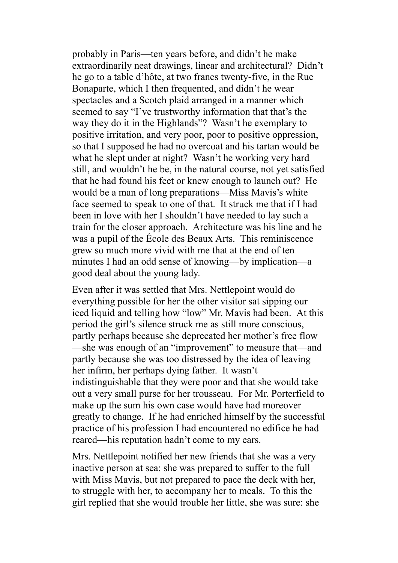probably in Paris—ten years before, and didn't he make extraordinarily neat drawings, linear and architectural? Didn't he go to a table d'hôte, at two francs twenty-five, in the Rue Bonaparte, which I then frequented, and didn't he wear spectacles and a Scotch plaid arranged in a manner which seemed to say "I've trustworthy information that that's the way they do it in the Highlands"? Wasn't he exemplary to positive irritation, and very poor, poor to positive oppression, so that I supposed he had no overcoat and his tartan would be what he slept under at night? Wasn't he working very hard still, and wouldn't he be, in the natural course, not yet satisfied that he had found his feet or knew enough to launch out? He would be a man of long preparations—Miss Mavis's white face seemed to speak to one of that. It struck me that if I had been in love with her I shouldn't have needed to lay such a train for the closer approach. Architecture was his line and he was a pupil of the École des Beaux Arts. This reminiscence grew so much more vivid with me that at the end of ten minutes I had an odd sense of knowing—by implication—a good deal about the young lady.

Even after it was settled that Mrs. Nettlepoint would do everything possible for her the other visitor sat sipping our iced liquid and telling how "low" Mr. Mavis had been. At this period the girl's silence struck me as still more conscious, partly perhaps because she deprecated her mother's free flow —she was enough of an "improvement" to measure that—and partly because she was too distressed by the idea of leaving her infirm, her perhaps dying father. It wasn't indistinguishable that they were poor and that she would take out a very small purse for her trousseau. For Mr. Porterfield to make up the sum his own case would have had moreover greatly to change. If he had enriched himself by the successful practice of his profession I had encountered no edifice he had reared—his reputation hadn't come to my ears.

Mrs. Nettlepoint notified her new friends that she was a very inactive person at sea: she was prepared to suffer to the full with Miss Mavis, but not prepared to pace the deck with her, to struggle with her, to accompany her to meals. To this the girl replied that she would trouble her little, she was sure: she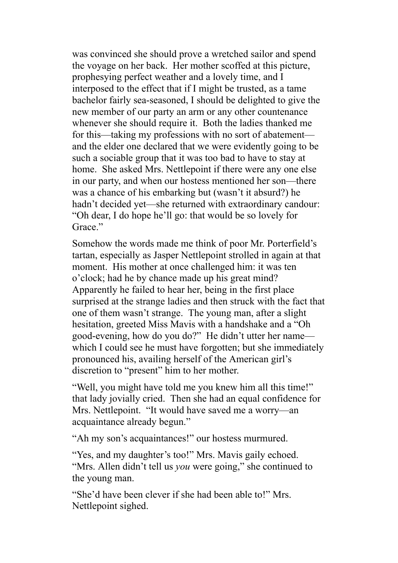was convinced she should prove a wretched sailor and spend the voyage on her back. Her mother scoffed at this picture, prophesying perfect weather and a lovely time, and I interposed to the effect that if I might be trusted, as a tame bachelor fairly sea-seasoned, I should be delighted to give the new member of our party an arm or any other countenance whenever she should require it. Both the ladies thanked me for this—taking my professions with no sort of abatement and the elder one declared that we were evidently going to be such a sociable group that it was too bad to have to stay at home. She asked Mrs. Nettlepoint if there were any one else in our party, and when our hostess mentioned her son—there was a chance of his embarking but (wasn't it absurd?) he hadn't decided yet—she returned with extraordinary candour: "Oh dear, I do hope he'll go: that would be so lovely for Grace<sup>"</sup>

Somehow the words made me think of poor Mr. Porterfield's tartan, especially as Jasper Nettlepoint strolled in again at that moment. His mother at once challenged him: it was ten o'clock; had he by chance made up his great mind? Apparently he failed to hear her, being in the first place surprised at the strange ladies and then struck with the fact that one of them wasn't strange. The young man, after a slight hesitation, greeted Miss Mavis with a handshake and a "Oh good-evening, how do you do?" He didn't utter her name which I could see he must have forgotten; but she immediately pronounced his, availing herself of the American girl's discretion to "present" him to her mother.

"Well, you might have told me you knew him all this time!" that lady jovially cried. Then she had an equal confidence for Mrs. Nettlepoint. "It would have saved me a worry—an acquaintance already begun."

"Ah my son's acquaintances!" our hostess murmured.

"Yes, and my daughter's too!" Mrs. Mavis gaily echoed. "Mrs. Allen didn't tell us *you* were going," she continued to the young man.

"She'd have been clever if she had been able to!" Mrs. Nettlepoint sighed.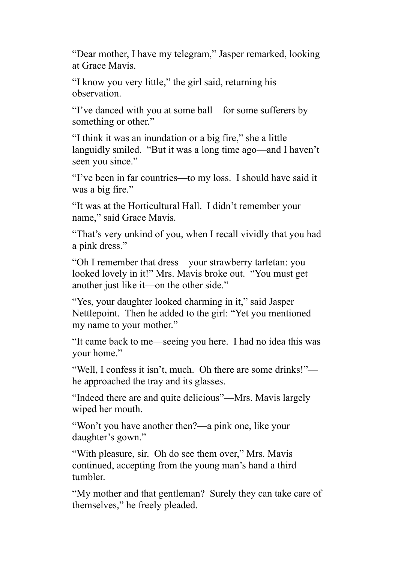"Dear mother, I have my telegram," Jasper remarked, looking at Grace Mavis.

"I know you very little," the girl said, returning his observation.

"I've danced with you at some ball—for some sufferers by something or other."

"I think it was an inundation or a big fire," she a little languidly smiled. "But it was a long time ago—and I haven't seen you since."

"I've been in far countries—to my loss. I should have said it was a big fire."

"It was at the Horticultural Hall. I didn't remember your name," said Grace Mavis.

"That's very unkind of you, when I recall vividly that you had a pink dress."

"Oh I remember that dress—your strawberry tarletan: you looked lovely in it!" Mrs. Mavis broke out. "You must get another just like it—on the other side."

"Yes, your daughter looked charming in it," said Jasper Nettlepoint. Then he added to the girl: "Yet you mentioned my name to your mother."

"It came back to me—seeing you here. I had no idea this was your home."

"Well, I confess it isn't, much. Oh there are some drinks!" he approached the tray and its glasses.

"Indeed there are and quite delicious"—Mrs. Mavis largely wiped her mouth.

"Won't you have another then?—a pink one, like your daughter's gown."

"With pleasure, sir. Oh do see them over," Mrs. Mavis continued, accepting from the young man's hand a third tumbler.

"My mother and that gentleman? Surely they can take care of themselves," he freely pleaded.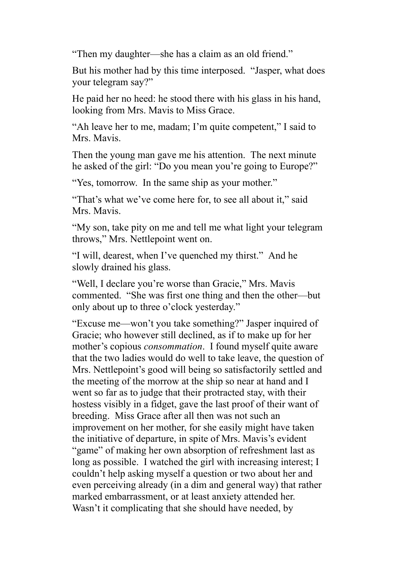"Then my daughter—she has a claim as an old friend."

But his mother had by this time interposed. "Jasper, what does your telegram say?"

He paid her no heed: he stood there with his glass in his hand, looking from Mrs. Mavis to Miss Grace.

"Ah leave her to me, madam; I'm quite competent," I said to Mrs. Mavis.

Then the young man gave me his attention. The next minute he asked of the girl: "Do you mean you're going to Europe?"

"Yes, tomorrow. In the same ship as your mother."

"That's what we've come here for, to see all about it," said Mrs. Mavis.

"My son, take pity on me and tell me what light your telegram throws," Mrs. Nettlepoint went on.

"I will, dearest, when I've quenched my thirst." And he slowly drained his glass.

"Well, I declare you're worse than Gracie," Mrs. Mavis commented. "She was first one thing and then the other—but only about up to three o'clock yesterday."

"Excuse me—won't you take something?" Jasper inquired of Gracie; who however still declined, as if to make up for her mother's copious *consommation*. I found myself quite aware that the two ladies would do well to take leave, the question of Mrs. Nettlepoint's good will being so satisfactorily settled and the meeting of the morrow at the ship so near at hand and I went so far as to judge that their protracted stay, with their hostess visibly in a fidget, gave the last proof of their want of breeding. Miss Grace after all then was not such an improvement on her mother, for she easily might have taken the initiative of departure, in spite of Mrs. Mavis's evident "game" of making her own absorption of refreshment last as long as possible. I watched the girl with increasing interest; I couldn't help asking myself a question or two about her and even perceiving already (in a dim and general way) that rather marked embarrassment, or at least anxiety attended her. Wasn't it complicating that she should have needed, by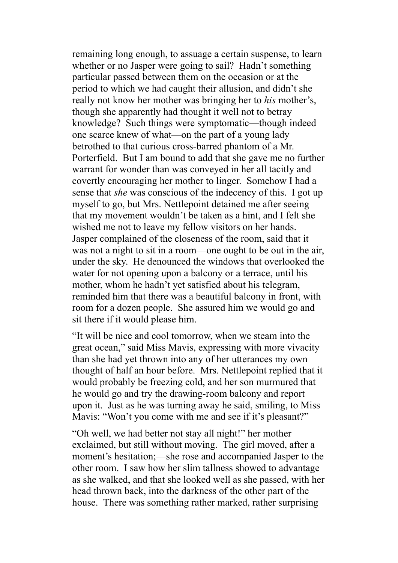remaining long enough, to assuage a certain suspense, to learn whether or no Jasper were going to sail? Hadn't something particular passed between them on the occasion or at the period to which we had caught their allusion, and didn't she really not know her mother was bringing her to *his* mother's, though she apparently had thought it well not to betray knowledge? Such things were symptomatic—though indeed one scarce knew of what—on the part of a young lady betrothed to that curious cross-barred phantom of a Mr. Porterfield. But I am bound to add that she gave me no further warrant for wonder than was conveyed in her all tacitly and covertly encouraging her mother to linger. Somehow I had a sense that *she* was conscious of the indecency of this. I got up myself to go, but Mrs. Nettlepoint detained me after seeing that my movement wouldn't be taken as a hint, and I felt she wished me not to leave my fellow visitors on her hands. Jasper complained of the closeness of the room, said that it was not a night to sit in a room—one ought to be out in the air, under the sky. He denounced the windows that overlooked the water for not opening upon a balcony or a terrace, until his mother, whom he hadn't yet satisfied about his telegram, reminded him that there was a beautiful balcony in front, with room for a dozen people. She assured him we would go and sit there if it would please him.

"It will be nice and cool tomorrow, when we steam into the great ocean," said Miss Mavis, expressing with more vivacity than she had yet thrown into any of her utterances my own thought of half an hour before. Mrs. Nettlepoint replied that it would probably be freezing cold, and her son murmured that he would go and try the drawing-room balcony and report upon it. Just as he was turning away he said, smiling, to Miss Mavis: "Won't you come with me and see if it's pleasant?"

"Oh well, we had better not stay all night!" her mother exclaimed, but still without moving. The girl moved, after a moment's hesitation;—she rose and accompanied Jasper to the other room. I saw how her slim tallness showed to advantage as she walked, and that she looked well as she passed, with her head thrown back, into the darkness of the other part of the house. There was something rather marked, rather surprising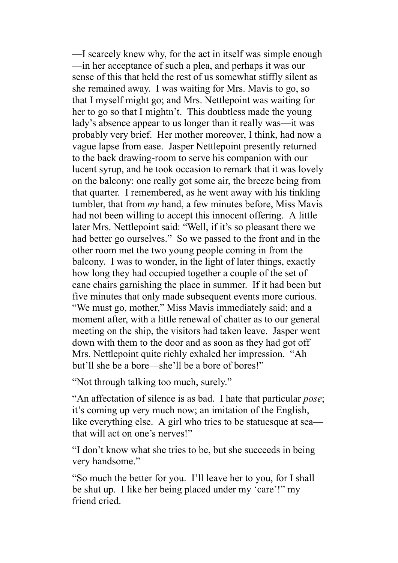—I scarcely knew why, for the act in itself was simple enough —in her acceptance of such a plea, and perhaps it was our sense of this that held the rest of us somewhat stiffly silent as she remained away. I was waiting for Mrs. Mavis to go, so that I myself might go; and Mrs. Nettlepoint was waiting for her to go so that I mightn't. This doubtless made the young lady's absence appear to us longer than it really was—it was probably very brief. Her mother moreover, I think, had now a vague lapse from ease. Jasper Nettlepoint presently returned to the back drawing-room to serve his companion with our lucent syrup, and he took occasion to remark that it was lovely on the balcony: one really got some air, the breeze being from that quarter. I remembered, as he went away with his tinkling tumbler, that from *my* hand, a few minutes before, Miss Mavis had not been willing to accept this innocent offering. A little later Mrs. Nettlepoint said: "Well, if it's so pleasant there we had better go ourselves." So we passed to the front and in the other room met the two young people coming in from the balcony. I was to wonder, in the light of later things, exactly how long they had occupied together a couple of the set of cane chairs garnishing the place in summer. If it had been but five minutes that only made subsequent events more curious. "We must go, mother," Miss Mavis immediately said; and a moment after, with a little renewal of chatter as to our general meeting on the ship, the visitors had taken leave. Jasper went down with them to the door and as soon as they had got off Mrs. Nettlepoint quite richly exhaled her impression. "Ah but'll she be a bore—she'll be a bore of bores!"

"Not through talking too much, surely."

"An affectation of silence is as bad. I hate that particular *pose*; it's coming up very much now; an imitation of the English, like everything else. A girl who tries to be statuesque at sea that will act on one's nerves!"

"I don't know what she tries to be, but she succeeds in being very handsome."

"So much the better for you. I'll leave her to you, for I shall be shut up. I like her being placed under my 'care'!" my friend cried.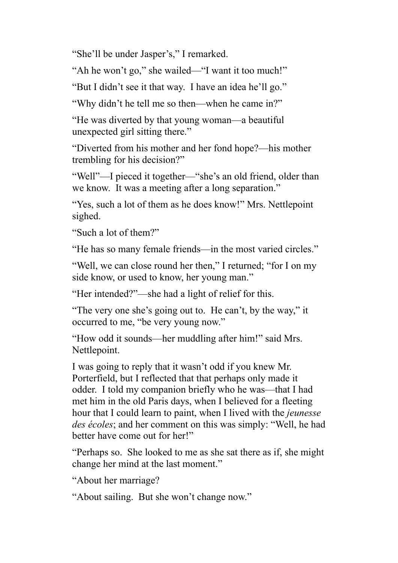"She'll be under Jasper's," I remarked.

"Ah he won't go," she wailed—"I want it too much!"

"But I didn't see it that way. I have an idea he'll go."

"Why didn't he tell me so then—when he came in?"

"He was diverted by that young woman—a beautiful unexpected girl sitting there."

"Diverted from his mother and her fond hope?—his mother trembling for his decision?"

"Well"—I pieced it together—"she's an old friend, older than we know. It was a meeting after a long separation."

"Yes, such a lot of them as he does know!" Mrs. Nettlepoint sighed.

"Such a lot of them?"

"He has so many female friends—in the most varied circles."

"Well, we can close round her then," I returned; "for I on my side know, or used to know, her young man."

"Her intended?"—she had a light of relief for this.

"The very one she's going out to. He can't, by the way," it occurred to me, "be very young now."

"How odd it sounds—her muddling after him!" said Mrs. Nettlepoint.

I was going to reply that it wasn't odd if you knew Mr. Porterfield, but I reflected that that perhaps only made it odder. I told my companion briefly who he was—that I had met him in the old Paris days, when I believed for a fleeting hour that I could learn to paint, when I lived with the *jeunesse des écoles*; and her comment on this was simply: "Well, he had better have come out for her!"

"Perhaps so. She looked to me as she sat there as if, she might change her mind at the last moment."

"About her marriage?

"About sailing. But she won't change now."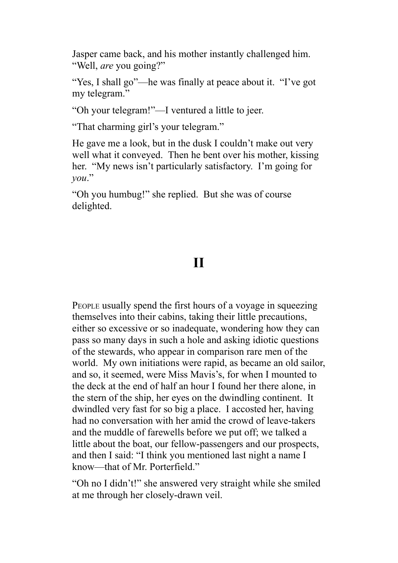Jasper came back, and his mother instantly challenged him. "Well, *are* you going?"

"Yes, I shall go"—he was finally at peace about it. "I've got my telegram."

"Oh your telegram!"—I ventured a little to jeer.

"That charming girl's your telegram."

He gave me a look, but in the dusk I couldn't make out very well what it conveyed. Then he bent over his mother, kissing her. "My news isn't particularly satisfactory. I'm going for *you*."

"Oh you humbug!" she replied. But she was of course delighted.

## **II**

PEOPLE usually spend the first hours of a voyage in squeezing themselves into their cabins, taking their little precautions, either so excessive or so inadequate, wondering how they can pass so many days in such a hole and asking idiotic questions of the stewards, who appear in comparison rare men of the world. My own initiations were rapid, as became an old sailor, and so, it seemed, were Miss Mavis's, for when I mounted to the deck at the end of half an hour I found her there alone, in the stern of the ship, her eyes on the dwindling continent. It dwindled very fast for so big a place. I accosted her, having had no conversation with her amid the crowd of leave-takers and the muddle of farewells before we put off; we talked a little about the boat, our fellow-passengers and our prospects, and then I said: "I think you mentioned last night a name I know—that of Mr. Porterfield."

"Oh no I didn't!" she answered very straight while she smiled at me through her closely-drawn veil.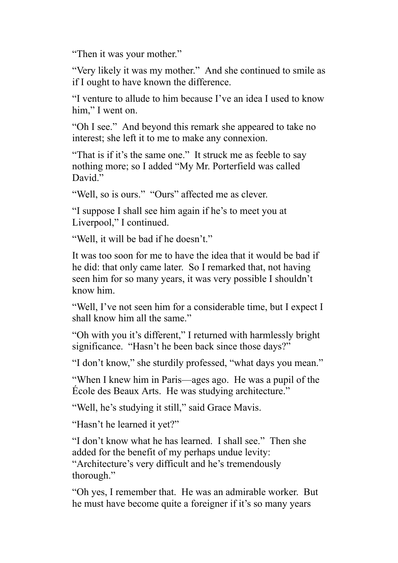"Then it was your mother."

"Very likely it was my mother." And she continued to smile as if I ought to have known the difference.

"I venture to allude to him because I've an idea I used to know him." I went on.

"Oh I see." And beyond this remark she appeared to take no interest; she left it to me to make any connexion.

"That is if it's the same one." It struck me as feeble to say nothing more; so I added "My Mr. Porterfield was called David<sup>"</sup>

"Well, so is ours." "Ours" affected me as clever.

"I suppose I shall see him again if he's to meet you at Liverpool," I continued.

"Well, it will be bad if he doesn't."

It was too soon for me to have the idea that it would be bad if he did: that only came later. So I remarked that, not having seen him for so many years, it was very possible I shouldn't know him.

"Well, I've not seen him for a considerable time, but I expect I shall know him all the same."

"Oh with you it's different," I returned with harmlessly bright significance. "Hasn't he been back since those days?"

"I don't know," she sturdily professed, "what days you mean."

"When I knew him in Paris—ages ago. He was a pupil of the École des Beaux Arts. He was studying architecture."

"Well, he's studying it still," said Grace Mavis.

"Hasn't he learned it yet?"

"I don't know what he has learned. I shall see." Then she added for the benefit of my perhaps undue levity: "Architecture's very difficult and he's tremendously thorough."

"Oh yes, I remember that. He was an admirable worker. But he must have become quite a foreigner if it's so many years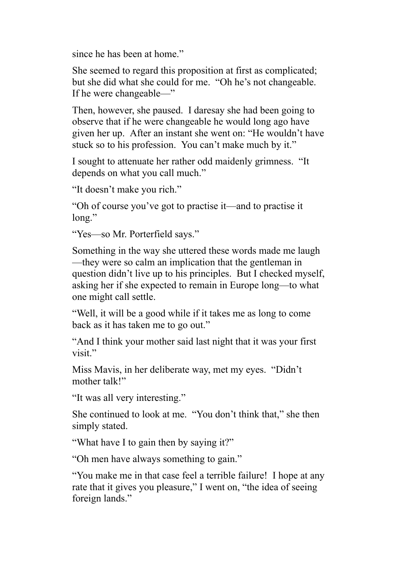since he has been at home."

She seemed to regard this proposition at first as complicated; but she did what she could for me. "Oh he's not changeable. If he were changeable—"

Then, however, she paused. I daresay she had been going to observe that if he were changeable he would long ago have given her up. After an instant she went on: "He wouldn't have stuck so to his profession. You can't make much by it."

I sought to attenuate her rather odd maidenly grimness. "It depends on what you call much."

"It doesn't make you rich."

"Oh of course you've got to practise it—and to practise it long."

"Yes—so Mr. Porterfield says."

Something in the way she uttered these words made me laugh —they were so calm an implication that the gentleman in question didn't live up to his principles. But I checked myself, asking her if she expected to remain in Europe long—to what one might call settle.

"Well, it will be a good while if it takes me as long to come back as it has taken me to go out."

"And I think your mother said last night that it was your first visit."

Miss Mavis, in her deliberate way, met my eyes. "Didn't mother talk!"

"It was all very interesting."

She continued to look at me. "You don't think that," she then simply stated.

"What have I to gain then by saying it?"

"Oh men have always something to gain."

"You make me in that case feel a terrible failure! I hope at any rate that it gives you pleasure," I went on, "the idea of seeing foreign lands."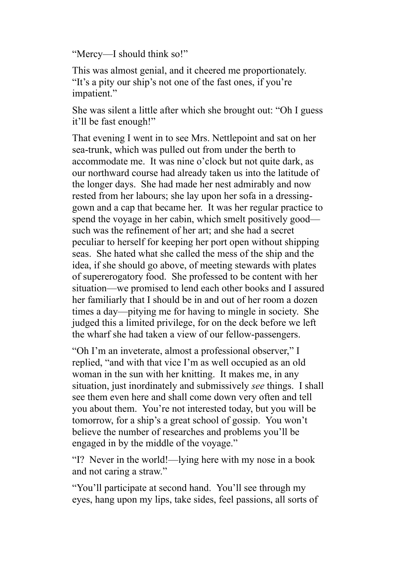"Mercy—I should think so!"

This was almost genial, and it cheered me proportionately. "It's a pity our ship's not one of the fast ones, if you're impatient."

She was silent a little after which she brought out: "Oh I guess it'll be fast enough!"

That evening I went in to see Mrs. Nettlepoint and sat on her sea-trunk, which was pulled out from under the berth to accommodate me. It was nine o'clock but not quite dark, as our northward course had already taken us into the latitude of the longer days. She had made her nest admirably and now rested from her labours; she lay upon her sofa in a dressinggown and a cap that became her. It was her regular practice to spend the voyage in her cabin, which smelt positively good such was the refinement of her art; and she had a secret peculiar to herself for keeping her port open without shipping seas. She hated what she called the mess of the ship and the idea, if she should go above, of meeting stewards with plates of supererogatory food. She professed to be content with her situation—we promised to lend each other books and I assured her familiarly that I should be in and out of her room a dozen times a day—pitying me for having to mingle in society. She judged this a limited privilege, for on the deck before we left the wharf she had taken a view of our fellow-passengers.

"Oh I'm an inveterate, almost a professional observer," I replied, "and with that vice I'm as well occupied as an old woman in the sun with her knitting. It makes me, in any situation, just inordinately and submissively *see* things. I shall see them even here and shall come down very often and tell you about them. You're not interested today, but you will be tomorrow, for a ship's a great school of gossip. You won't believe the number of researches and problems you'll be engaged in by the middle of the voyage."

"I? Never in the world!—lying here with my nose in a book and not caring a straw."

"You'll participate at second hand. You'll see through my eyes, hang upon my lips, take sides, feel passions, all sorts of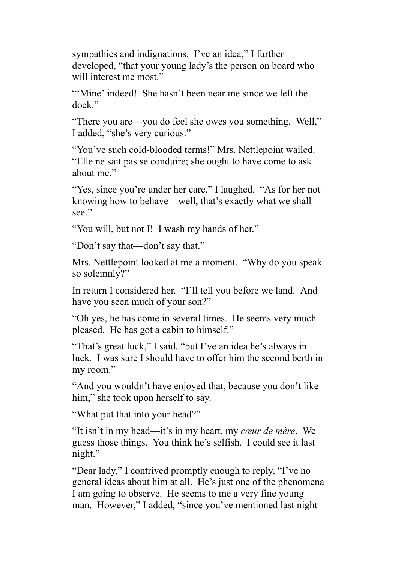sympathies and indignations. I've an idea," I further developed, "that your young lady's the person on board who will interest me most."

"'Mine' indeed! She hasn't been near me since we left the dock."

"There you are—you do feel she owes you something. Well," I added, "she's very curious."

"You've such cold-blooded terms!" Mrs. Nettlepoint wailed. "Elle ne sait pas se conduire; she ought to have come to ask about me"

"Yes, since you're under her care," I laughed. "As for her not knowing how to behave—well, that's exactly what we shall see."

"You will, but not I! I wash my hands of her."

"Don't say that—don't say that."

Mrs. Nettlepoint looked at me a moment. "Why do you speak so solemnly?"

In return I considered her. "I'll tell you before we land. And have you seen much of your son?"

"Oh yes, he has come in several times. He seems very much pleased. He has got a cabin to himself."

"That's great luck," I said, "but I've an idea he's always in luck. I was sure I should have to offer him the second berth in my room."

"And you wouldn't have enjoyed that, because you don't like him," she took upon herself to say.

"What put that into your head?"

"It isn't in my head—it's in my heart, my *cœur de mère*. We guess those things. You think he's selfish. I could see it last night."

"Dear lady," I contrived promptly enough to reply, "I've no general ideas about him at all. He's just one of the phenomena I am going to observe. He seems to me a very fine young man. However," I added, "since you've mentioned last night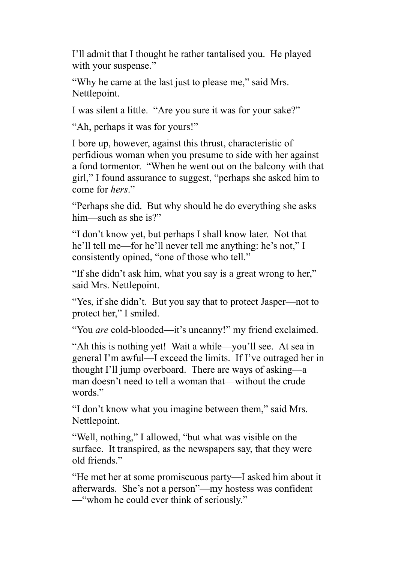I'll admit that I thought he rather tantalised you. He played with your suspense."

"Why he came at the last just to please me," said Mrs. Nettlepoint.

I was silent a little. "Are you sure it was for your sake?"

"Ah, perhaps it was for yours!"

I bore up, however, against this thrust, characteristic of perfidious woman when you presume to side with her against a fond tormentor. "When he went out on the balcony with that girl," I found assurance to suggest, "perhaps she asked him to come for *hers*."

"Perhaps she did. But why should he do everything she asks him—such as she is?"

"I don't know yet, but perhaps I shall know later. Not that he'll tell me—for he'll never tell me anything: he's not," I consistently opined, "one of those who tell."

"If she didn't ask him, what you say is a great wrong to her," said Mrs. Nettlepoint.

"Yes, if she didn't. But you say that to protect Jasper—not to protect her," I smiled.

"You *are* cold-blooded—it's uncanny!" my friend exclaimed.

"Ah this is nothing yet! Wait a while—you'll see. At sea in general I'm awful—I exceed the limits. If I've outraged her in thought I'll jump overboard. There are ways of asking—a man doesn't need to tell a woman that—without the crude words."

"I don't know what you imagine between them," said Mrs. Nettlepoint.

"Well, nothing," I allowed, "but what was visible on the surface. It transpired, as the newspapers say, that they were old friends."

"He met her at some promiscuous party—I asked him about it afterwards. She's not a person"—my hostess was confident —"whom he could ever think of seriously."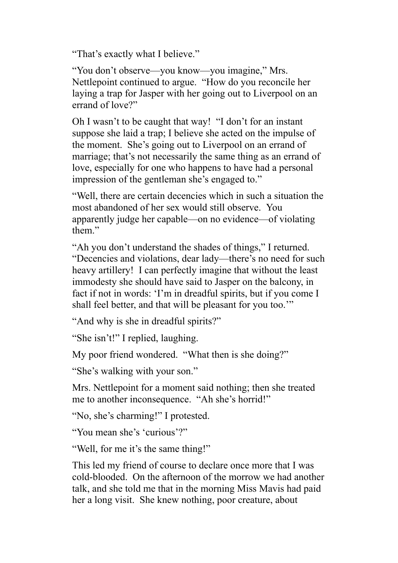"That's exactly what I believe."

"You don't observe—you know—you imagine," Mrs. Nettlepoint continued to argue. "How do you reconcile her laying a trap for Jasper with her going out to Liverpool on an errand of love?"

Oh I wasn't to be caught that way! "I don't for an instant suppose she laid a trap; I believe she acted on the impulse of the moment. She's going out to Liverpool on an errand of marriage; that's not necessarily the same thing as an errand of love, especially for one who happens to have had a personal impression of the gentleman she's engaged to."

"Well, there are certain decencies which in such a situation the most abandoned of her sex would still observe. You apparently judge her capable—on no evidence—of violating them."

"Ah you don't understand the shades of things," I returned. "Decencies and violations, dear lady—there's no need for such heavy artillery! I can perfectly imagine that without the least immodesty she should have said to Jasper on the balcony, in fact if not in words: 'I'm in dreadful spirits, but if you come I shall feel better, and that will be pleasant for you too.'"

"And why is she in dreadful spirits?"

"She isn't!" I replied, laughing.

My poor friend wondered. "What then is she doing?"

"She's walking with your son."

Mrs. Nettlepoint for a moment said nothing; then she treated me to another inconsequence. "Ah she's horrid!"

"No, she's charming!" I protested.

"You mean she's 'curious'?"

"Well, for me it's the same thing!"

This led my friend of course to declare once more that I was cold-blooded. On the afternoon of the morrow we had another talk, and she told me that in the morning Miss Mavis had paid her a long visit. She knew nothing, poor creature, about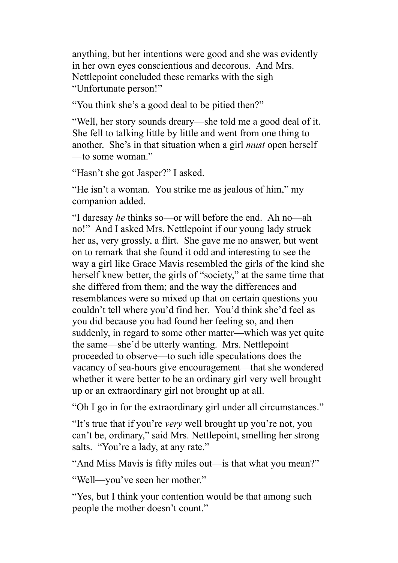anything, but her intentions were good and she was evidently in her own eyes conscientious and decorous. And Mrs. Nettlepoint concluded these remarks with the sigh "Unfortunate person!"

"You think she's a good deal to be pitied then?"

"Well, her story sounds dreary—she told me a good deal of it. She fell to talking little by little and went from one thing to another. She's in that situation when a girl *must* open herself —to some woman."

"Hasn't she got Jasper?" I asked.

"He isn't a woman. You strike me as jealous of him," my companion added.

"I daresay *he* thinks so—or will before the end. Ah no—ah no!" And I asked Mrs. Nettlepoint if our young lady struck her as, very grossly, a flirt. She gave me no answer, but went on to remark that she found it odd and interesting to see the way a girl like Grace Mavis resembled the girls of the kind she herself knew better, the girls of "society," at the same time that she differed from them; and the way the differences and resemblances were so mixed up that on certain questions you couldn't tell where you'd find her. You'd think she'd feel as you did because you had found her feeling so, and then suddenly, in regard to some other matter—which was yet quite the same—she'd be utterly wanting. Mrs. Nettlepoint proceeded to observe—to such idle speculations does the vacancy of sea-hours give encouragement—that she wondered whether it were better to be an ordinary girl very well brought up or an extraordinary girl not brought up at all.

"Oh I go in for the extraordinary girl under all circumstances."

"It's true that if you're *very* well brought up you're not, you can't be, ordinary," said Mrs. Nettlepoint, smelling her strong salts. "You're a lady, at any rate."

"And Miss Mavis is fifty miles out—is that what you mean?"

"Well—you've seen her mother."

"Yes, but I think your contention would be that among such people the mother doesn't count."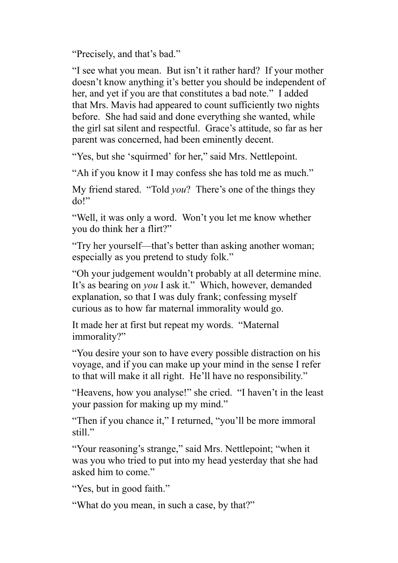"Precisely, and that's bad."

"I see what you mean. But isn't it rather hard? If your mother doesn't know anything it's better you should be independent of her, and yet if you are that constitutes a bad note." I added that Mrs. Mavis had appeared to count sufficiently two nights before. She had said and done everything she wanted, while the girl sat silent and respectful. Grace's attitude, so far as her parent was concerned, had been eminently decent.

"Yes, but she 'squirmed' for her," said Mrs. Nettlepoint.

"Ah if you know it I may confess she has told me as much."

My friend stared. "Told *you*? There's one of the things they do!"

"Well, it was only a word. Won't you let me know whether you do think her a flirt?"

"Try her yourself—that's better than asking another woman; especially as you pretend to study folk."

"Oh your judgement wouldn't probably at all determine mine. It's as bearing on *you* I ask it." Which, however, demanded explanation, so that I was duly frank; confessing myself curious as to how far maternal immorality would go.

It made her at first but repeat my words. "Maternal immorality?"

"You desire your son to have every possible distraction on his voyage, and if you can make up your mind in the sense I refer to that will make it all right. He'll have no responsibility."

"Heavens, how you analyse!" she cried. "I haven't in the least your passion for making up my mind."

"Then if you chance it," I returned, "you'll be more immoral still<sup>"</sup>

"Your reasoning's strange," said Mrs. Nettlepoint; "when it was you who tried to put into my head yesterday that she had asked him to come."

"Yes, but in good faith."

"What do you mean, in such a case, by that?"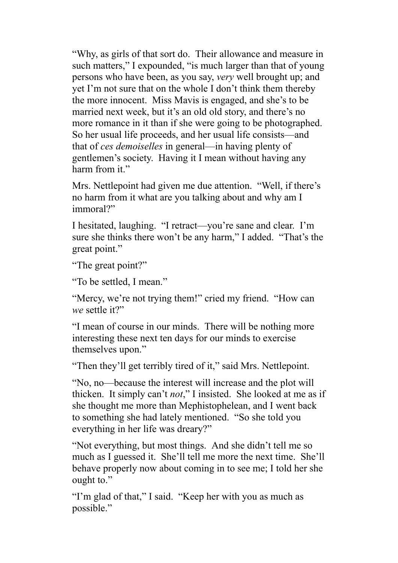"Why, as girls of that sort do. Their allowance and measure in such matters," I expounded, "is much larger than that of young persons who have been, as you say, *very* well brought up; and yet I'm not sure that on the whole I don't think them thereby the more innocent. Miss Mavis is engaged, and she's to be married next week, but it's an old old story, and there's no more romance in it than if she were going to be photographed. So her usual life proceeds, and her usual life consists—and that of *ces demoiselles* in general—in having plenty of gentlemen's society. Having it I mean without having any harm from it."

Mrs. Nettlepoint had given me due attention. "Well, if there's no harm from it what are you talking about and why am I immoral?"

I hesitated, laughing. "I retract—you're sane and clear. I'm sure she thinks there won't be any harm," I added. "That's the great point."

"The great point?"

"To be settled, I mean."

"Mercy, we're not trying them!" cried my friend. "How can *we* settle it?"

"I mean of course in our minds. There will be nothing more interesting these next ten days for our minds to exercise themselves upon."

"Then they'll get terribly tired of it," said Mrs. Nettlepoint.

"No, no—because the interest will increase and the plot will thicken. It simply can't *not*," I insisted. She looked at me as if she thought me more than Mephistophelean, and I went back to something she had lately mentioned. "So she told you everything in her life was dreary?"

"Not everything, but most things. And she didn't tell me so much as I guessed it. She'll tell me more the next time. She'll behave properly now about coming in to see me; I told her she ought to."

"I'm glad of that," I said. "Keep her with you as much as possible."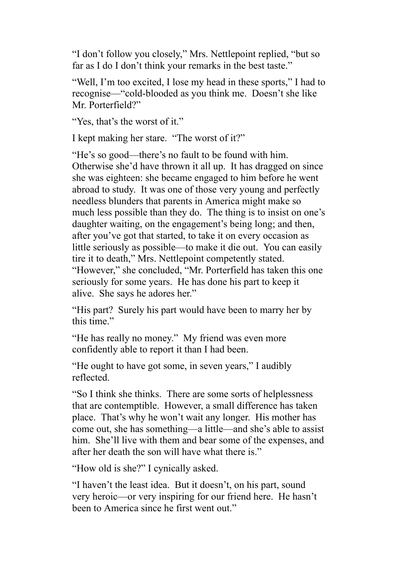"I don't follow you closely," Mrs. Nettlepoint replied, "but so far as I do I don't think your remarks in the best taste."

"Well, I'm too excited, I lose my head in these sports," I had to recognise—"cold-blooded as you think me. Doesn't she like Mr. Porterfield?"

"Yes, that's the worst of it."

I kept making her stare. "The worst of it?"

"He's so good—there's no fault to be found with him. Otherwise she'd have thrown it all up. It has dragged on since she was eighteen: she became engaged to him before he went abroad to study. It was one of those very young and perfectly needless blunders that parents in America might make so much less possible than they do. The thing is to insist on one's daughter waiting, on the engagement's being long; and then, after you've got that started, to take it on every occasion as little seriously as possible—to make it die out. You can easily tire it to death," Mrs. Nettlepoint competently stated. "However," she concluded, "Mr. Porterfield has taken this one seriously for some years. He has done his part to keep it alive. She says he adores her."

"His part? Surely his part would have been to marry her by this time."

"He has really no money." My friend was even more confidently able to report it than I had been.

"He ought to have got some, in seven years," I audibly reflected.

"So I think she thinks. There are some sorts of helplessness that are contemptible. However, a small difference has taken place. That's why he won't wait any longer. His mother has come out, she has something—a little—and she's able to assist him. She'll live with them and bear some of the expenses, and after her death the son will have what there is."

"How old is she?" I cynically asked.

"I haven't the least idea. But it doesn't, on his part, sound very heroic—or very inspiring for our friend here. He hasn't been to America since he first went out."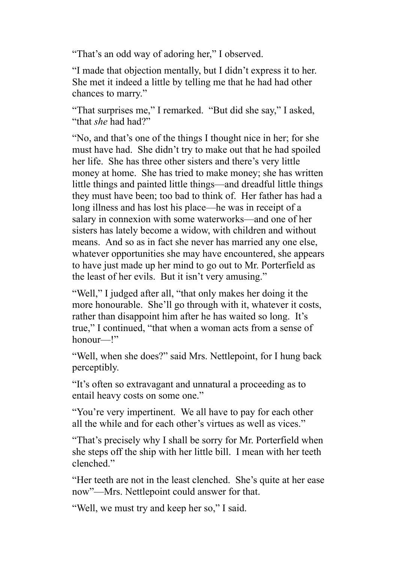"That's an odd way of adoring her," I observed.

"I made that objection mentally, but I didn't express it to her. She met it indeed a little by telling me that he had had other chances to marry."

"That surprises me," I remarked. "But did she say," I asked, "that *she* had had?"

"No, and that's one of the things I thought nice in her; for she must have had. She didn't try to make out that he had spoiled her life. She has three other sisters and there's very little money at home. She has tried to make money; she has written little things and painted little things—and dreadful little things they must have been; too bad to think of. Her father has had a long illness and has lost his place—he was in receipt of a salary in connexion with some waterworks—and one of her sisters has lately become a widow, with children and without means. And so as in fact she never has married any one else, whatever opportunities she may have encountered, she appears to have just made up her mind to go out to Mr. Porterfield as the least of her evils. But it isn't very amusing."

"Well," I judged after all, "that only makes her doing it the more honourable. She'll go through with it, whatever it costs, rather than disappoint him after he has waited so long. It's true," I continued, "that when a woman acts from a sense of honour—!"

"Well, when she does?" said Mrs. Nettlepoint, for I hung back perceptibly.

"It's often so extravagant and unnatural a proceeding as to entail heavy costs on some one."

"You're very impertinent. We all have to pay for each other all the while and for each other's virtues as well as vices."

"That's precisely why I shall be sorry for Mr. Porterfield when she steps off the ship with her little bill. I mean with her teeth clenched."

"Her teeth are not in the least clenched. She's quite at her ease now"—Mrs. Nettlepoint could answer for that.

"Well, we must try and keep her so," I said.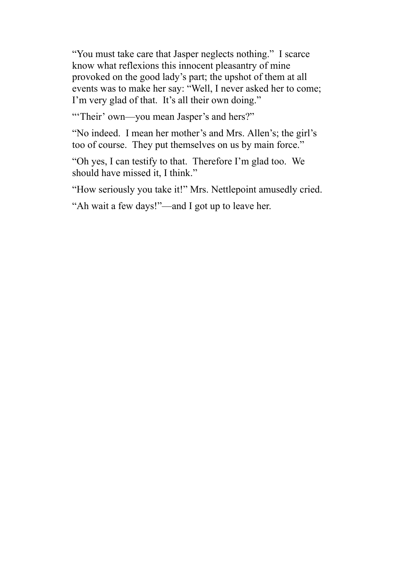"You must take care that Jasper neglects nothing." I scarce know what reflexions this innocent pleasantry of mine provoked on the good lady's part; the upshot of them at all events was to make her say: "Well, I never asked her to come; I'm very glad of that. It's all their own doing."

"Their' own—you mean Jasper's and hers?"

"No indeed. I mean her mother's and Mrs. Allen's; the girl's too of course. They put themselves on us by main force."

"Oh yes, I can testify to that. Therefore I'm glad too. We should have missed it, I think."

"How seriously you take it!" Mrs. Nettlepoint amusedly cried.

"Ah wait a few days!"—and I got up to leave her.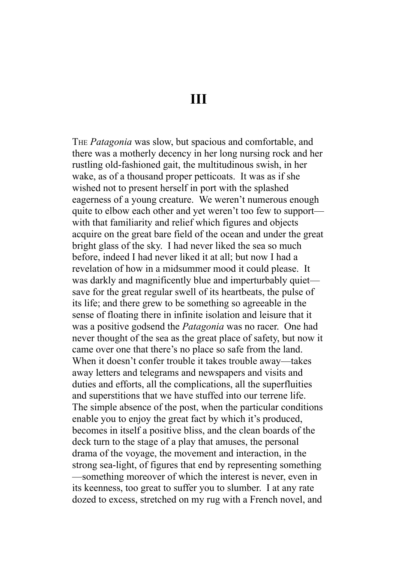**III**

THE *Patagonia* was slow, but spacious and comfortable, and there was a motherly decency in her long nursing rock and her rustling old-fashioned gait, the multitudinous swish, in her wake, as of a thousand proper petticoats. It was as if she wished not to present herself in port with the splashed eagerness of a young creature. We weren't numerous enough quite to elbow each other and yet weren't too few to support with that familiarity and relief which figures and objects acquire on the great bare field of the ocean and under the great bright glass of the sky. I had never liked the sea so much before, indeed I had never liked it at all; but now I had a revelation of how in a midsummer mood it could please. It was darkly and magnificently blue and imperturbably quiet save for the great regular swell of its heartbeats, the pulse of its life; and there grew to be something so agreeable in the sense of floating there in infinite isolation and leisure that it was a positive godsend the *Patagonia* was no racer. One had never thought of the sea as the great place of safety, but now it came over one that there's no place so safe from the land. When it doesn't confer trouble it takes trouble away—takes away letters and telegrams and newspapers and visits and duties and efforts, all the complications, all the superfluities and superstitions that we have stuffed into our terrene life. The simple absence of the post, when the particular conditions enable you to enjoy the great fact by which it's produced, becomes in itself a positive bliss, and the clean boards of the deck turn to the stage of a play that amuses, the personal drama of the voyage, the movement and interaction, in the strong sea-light, of figures that end by representing something —something moreover of which the interest is never, even in its keenness, too great to suffer you to slumber. I at any rate dozed to excess, stretched on my rug with a French novel, and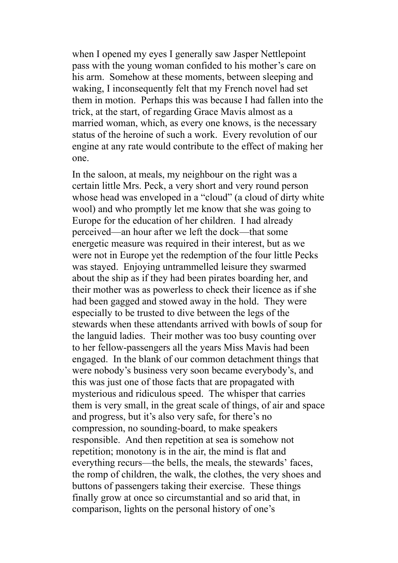when I opened my eyes I generally saw Jasper Nettlepoint pass with the young woman confided to his mother's care on his arm. Somehow at these moments, between sleeping and waking, I inconsequently felt that my French novel had set them in motion. Perhaps this was because I had fallen into the trick, at the start, of regarding Grace Mavis almost as a married woman, which, as every one knows, is the necessary status of the heroine of such a work. Every revolution of our engine at any rate would contribute to the effect of making her one.

In the saloon, at meals, my neighbour on the right was a certain little Mrs. Peck, a very short and very round person whose head was enveloped in a "cloud" (a cloud of dirty white wool) and who promptly let me know that she was going to Europe for the education of her children. I had already perceived—an hour after we left the dock—that some energetic measure was required in their interest, but as we were not in Europe yet the redemption of the four little Pecks was stayed. Enjoying untrammelled leisure they swarmed about the ship as if they had been pirates boarding her, and their mother was as powerless to check their licence as if she had been gagged and stowed away in the hold. They were especially to be trusted to dive between the legs of the stewards when these attendants arrived with bowls of soup for the languid ladies. Their mother was too busy counting over to her fellow-passengers all the years Miss Mavis had been engaged. In the blank of our common detachment things that were nobody's business very soon became everybody's, and this was just one of those facts that are propagated with mysterious and ridiculous speed. The whisper that carries them is very small, in the great scale of things, of air and space and progress, but it's also very safe, for there's no compression, no sounding-board, to make speakers responsible. And then repetition at sea is somehow not repetition; monotony is in the air, the mind is flat and everything recurs—the bells, the meals, the stewards' faces, the romp of children, the walk, the clothes, the very shoes and buttons of passengers taking their exercise. These things finally grow at once so circumstantial and so arid that, in comparison, lights on the personal history of one's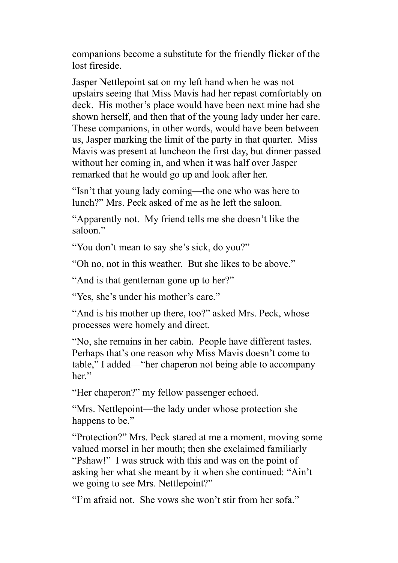companions become a substitute for the friendly flicker of the lost fireside.

Jasper Nettlepoint sat on my left hand when he was not upstairs seeing that Miss Mavis had her repast comfortably on deck. His mother's place would have been next mine had she shown herself, and then that of the young lady under her care. These companions, in other words, would have been between us, Jasper marking the limit of the party in that quarter. Miss Mavis was present at luncheon the first day, but dinner passed without her coming in, and when it was half over Jasper remarked that he would go up and look after her.

"Isn't that young lady coming—the one who was here to lunch?" Mrs. Peck asked of me as he left the saloon.

"Apparently not. My friend tells me she doesn't like the saloon."

"You don't mean to say she's sick, do you?"

"Oh no, not in this weather. But she likes to be above."

"And is that gentleman gone up to her?"

"Yes, she's under his mother's care."

"And is his mother up there, too?" asked Mrs. Peck, whose processes were homely and direct.

"No, she remains in her cabin. People have different tastes. Perhaps that's one reason why Miss Mavis doesn't come to table," I added—"her chaperon not being able to accompany her."

"Her chaperon?" my fellow passenger echoed.

"Mrs. Nettlepoint—the lady under whose protection she happens to be."

"Protection?" Mrs. Peck stared at me a moment, moving some valued morsel in her mouth; then she exclaimed familiarly "Pshaw!" I was struck with this and was on the point of asking her what she meant by it when she continued: "Ain't we going to see Mrs. Nettlepoint?"

"I'm afraid not. She vows she won't stir from her sofa."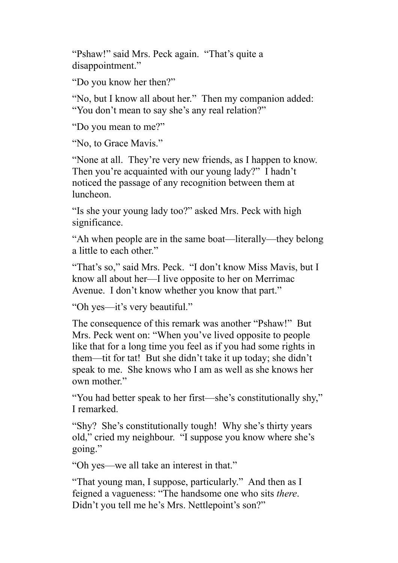"Pshaw!" said Mrs. Peck again. "That's quite a disappointment."

"Do you know her then?"

"No, but I know all about her." Then my companion added: "You don't mean to say she's any real relation?"

"Do you mean to me?"

"No, to Grace Mavis."

"None at all. They're very new friends, as I happen to know. Then you're acquainted with our young lady?" I hadn't noticed the passage of any recognition between them at luncheon.

"Is she your young lady too?" asked Mrs. Peck with high significance.

"Ah when people are in the same boat—literally—they belong a little to each other."

"That's so," said Mrs. Peck. "I don't know Miss Mavis, but I know all about her—I live opposite to her on Merrimac Avenue. I don't know whether you know that part."

"Oh yes—it's very beautiful."

The consequence of this remark was another "Pshaw!" But Mrs. Peck went on: "When you've lived opposite to people like that for a long time you feel as if you had some rights in them—tit for tat! But she didn't take it up today; she didn't speak to me. She knows who I am as well as she knows her own mother."

"You had better speak to her first—she's constitutionally shy," I remarked.

"Shy? She's constitutionally tough! Why she's thirty years old," cried my neighbour. "I suppose you know where she's going."

"Oh yes—we all take an interest in that."

"That young man, I suppose, particularly." And then as I feigned a vagueness: "The handsome one who sits *there*. Didn't you tell me he's Mrs. Nettlepoint's son?"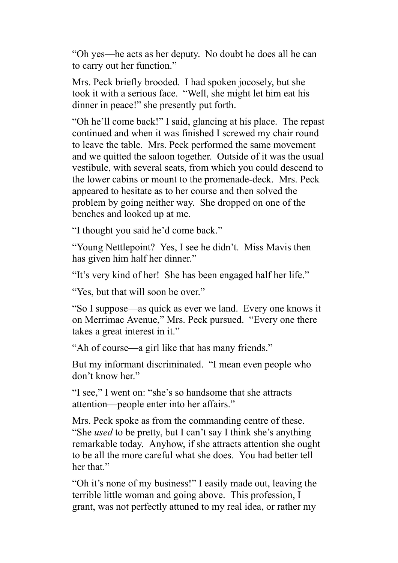"Oh yes—he acts as her deputy. No doubt he does all he can to carry out her function."

Mrs. Peck briefly brooded. I had spoken jocosely, but she took it with a serious face. "Well, she might let him eat his dinner in peace!" she presently put forth.

"Oh he'll come back!" I said, glancing at his place. The repast continued and when it was finished I screwed my chair round to leave the table. Mrs. Peck performed the same movement and we quitted the saloon together. Outside of it was the usual vestibule, with several seats, from which you could descend to the lower cabins or mount to the promenade-deck. Mrs. Peck appeared to hesitate as to her course and then solved the problem by going neither way. She dropped on one of the benches and looked up at me.

"I thought you said he'd come back."

"Young Nettlepoint? Yes, I see he didn't. Miss Mavis then has given him half her dinner."

"It's very kind of her! She has been engaged half her life."

"Yes, but that will soon be over."

"So I suppose—as quick as ever we land. Every one knows it on Merrimac Avenue," Mrs. Peck pursued. "Every one there takes a great interest in it."

"Ah of course—a girl like that has many friends."

But my informant discriminated. "I mean even people who don't know her."

"I see," I went on: "she's so handsome that she attracts attention—people enter into her affairs."

Mrs. Peck spoke as from the commanding centre of these. "She *used* to be pretty, but I can't say I think she's anything remarkable today. Anyhow, if she attracts attention she ought to be all the more careful what she does. You had better tell her that."

"Oh it's none of my business!" I easily made out, leaving the terrible little woman and going above. This profession, I grant, was not perfectly attuned to my real idea, or rather my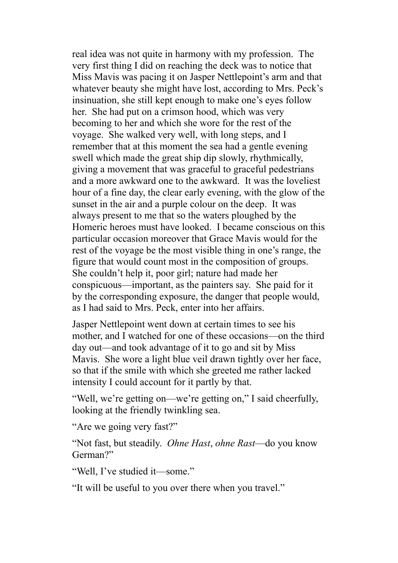real idea was not quite in harmony with my profession. The very first thing I did on reaching the deck was to notice that Miss Mavis was pacing it on Jasper Nettlepoint's arm and that whatever beauty she might have lost, according to Mrs. Peck's insinuation, she still kept enough to make one's eyes follow her. She had put on a crimson hood, which was very becoming to her and which she wore for the rest of the voyage. She walked very well, with long steps, and I remember that at this moment the sea had a gentle evening swell which made the great ship dip slowly, rhythmically, giving a movement that was graceful to graceful pedestrians and a more awkward one to the awkward. It was the loveliest hour of a fine day, the clear early evening, with the glow of the sunset in the air and a purple colour on the deep. It was always present to me that so the waters ploughed by the Homeric heroes must have looked. I became conscious on this particular occasion moreover that Grace Mavis would for the rest of the voyage be the most visible thing in one's range, the figure that would count most in the composition of groups. She couldn't help it, poor girl; nature had made her conspicuous—important, as the painters say. She paid for it by the corresponding exposure, the danger that people would, as I had said to Mrs. Peck, enter into her affairs.

Jasper Nettlepoint went down at certain times to see his mother, and I watched for one of these occasions—on the third day out—and took advantage of it to go and sit by Miss Mavis. She wore a light blue veil drawn tightly over her face, so that if the smile with which she greeted me rather lacked intensity I could account for it partly by that.

"Well, we're getting on—we're getting on," I said cheerfully, looking at the friendly twinkling sea.

"Are we going very fast?"

"Not fast, but steadily. *Ohne Hast*, *ohne Rast*—do you know German?"

"Well, I've studied it—some."

"It will be useful to you over there when you travel."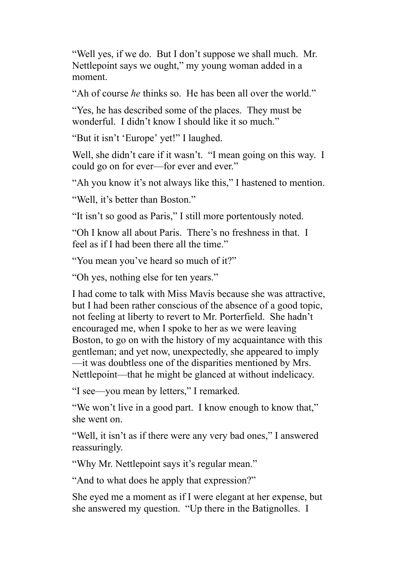"Well yes, if we do. But I don't suppose we shall much. Mr. Nettlepoint says we ought," my young woman added in a moment.

"Ah of course *he* thinks so. He has been all over the world."

"Yes, he has described some of the places. They must be wonderful. I didn't know I should like it so much."

"But it isn't 'Europe' yet!" I laughed.

Well, she didn't care if it wasn't. "I mean going on this way. I could go on for ever—for ever and ever."

"Ah you know it's not always like this," I hastened to mention.

"Well, it's better than Boston."

"It isn't so good as Paris," I still more portentously noted.

"Oh I know all about Paris. There's no freshness in that. I feel as if I had been there all the time."

"You mean you've heard so much of it?"

"Oh yes, nothing else for ten years."

I had come to talk with Miss Mavis because she was attractive, but I had been rather conscious of the absence of a good topic, not feeling at liberty to revert to Mr. Porterfield. She hadn't encouraged me, when I spoke to her as we were leaving Boston, to go on with the history of my acquaintance with this gentleman; and yet now, unexpectedly, she appeared to imply —it was doubtless one of the disparities mentioned by Mrs. Nettlepoint—that he might be glanced at without indelicacy.

"I see—you mean by letters," I remarked.

"We won't live in a good part. I know enough to know that," she went on.

"Well, it isn't as if there were any very bad ones," I answered reassuringly.

"Why Mr. Nettlepoint says it's regular mean."

"And to what does he apply that expression?"

She eyed me a moment as if I were elegant at her expense, but she answered my question. "Up there in the Batignolles. I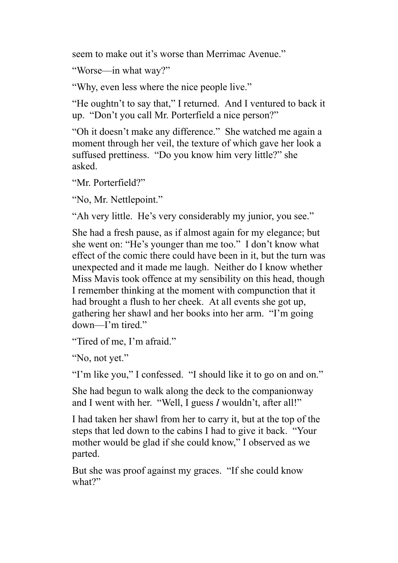seem to make out it's worse than Merrimac Avenue."

"Worse—in what way?"

"Why, even less where the nice people live."

"He oughtn't to say that," I returned. And I ventured to back it up. "Don't you call Mr. Porterfield a nice person?"

"Oh it doesn't make any difference." She watched me again a moment through her veil, the texture of which gave her look a suffused prettiness. "Do you know him very little?" she asked.

"Mr. Porterfield?"

"No, Mr. Nettlepoint."

"Ah very little. He's very considerably my junior, you see."

She had a fresh pause, as if almost again for my elegance; but she went on: "He's younger than me too." I don't know what effect of the comic there could have been in it, but the turn was unexpected and it made me laugh. Neither do I know whether Miss Mavis took offence at my sensibility on this head, though I remember thinking at the moment with compunction that it had brought a flush to her cheek. At all events she got up, gathering her shawl and her books into her arm. "I'm going down—I'm tired."

"Tired of me, I'm afraid."

"No, not yet."

"I'm like you," I confessed. "I should like it to go on and on."

She had begun to walk along the deck to the companionway and I went with her. "Well, I guess *I* wouldn't, after all!"

I had taken her shawl from her to carry it, but at the top of the steps that led down to the cabins I had to give it back. "Your mother would be glad if she could know," I observed as we parted.

But she was proof against my graces. "If she could know what?"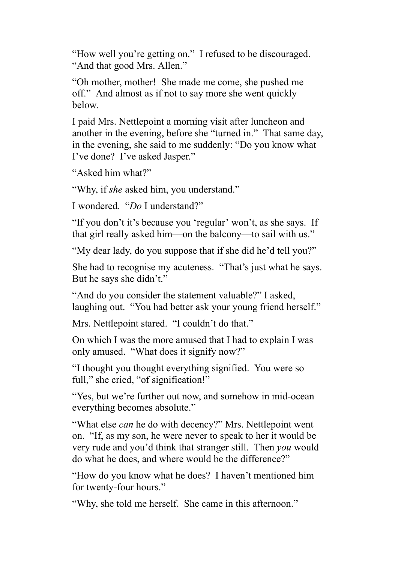"How well you're getting on." I refused to be discouraged. "And that good Mrs. Allen."

"Oh mother, mother! She made me come, she pushed me off." And almost as if not to say more she went quickly below.

I paid Mrs. Nettlepoint a morning visit after luncheon and another in the evening, before she "turned in." That same day, in the evening, she said to me suddenly: "Do you know what I've done? I've asked Jasper."

"Asked him what?"

"Why, if *she* asked him, you understand."

I wondered. "*Do* I understand?"

"If you don't it's because you 'regular' won't, as she says. If that girl really asked him—on the balcony—to sail with us."

"My dear lady, do you suppose that if she did he'd tell you?"

She had to recognise my acuteness. "That's just what he says. But he says she didn't."

"And do you consider the statement valuable?" I asked, laughing out. "You had better ask your young friend herself."

Mrs. Nettlepoint stared. "I couldn't do that."

On which I was the more amused that I had to explain I was only amused. "What does it signify now?"

"I thought you thought everything signified. You were so full," she cried, "of signification!"

"Yes, but we're further out now, and somehow in mid-ocean everything becomes absolute."

"What else *can* he do with decency?" Mrs. Nettlepoint went on. "If, as my son, he were never to speak to her it would be very rude and you'd think that stranger still. Then *you* would do what he does, and where would be the difference?"

"How do you know what he does? I haven't mentioned him for twenty-four hours."

"Why, she told me herself. She came in this afternoon."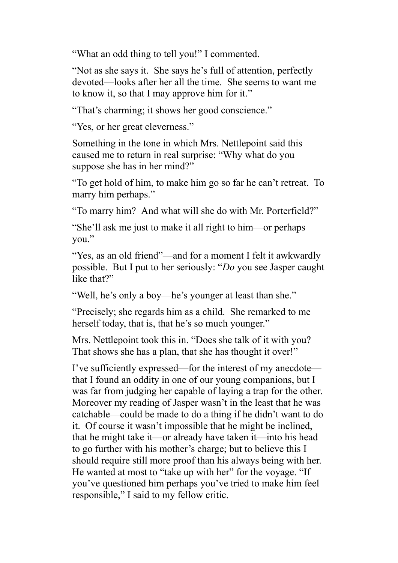"What an odd thing to tell you!" I commented.

"Not as she says it. She says he's full of attention, perfectly devoted—looks after her all the time. She seems to want me to know it, so that I may approve him for it."

"That's charming; it shows her good conscience."

"Yes, or her great cleverness."

Something in the tone in which Mrs. Nettlepoint said this caused me to return in real surprise: "Why what do you suppose she has in her mind?"

"To get hold of him, to make him go so far he can't retreat. To marry him perhaps."

"To marry him? And what will she do with Mr. Porterfield?"

"She'll ask me just to make it all right to him—or perhaps you."

"Yes, as an old friend"—and for a moment I felt it awkwardly possible. But I put to her seriously: "*Do* you see Jasper caught like that?"

"Well, he's only a boy—he's younger at least than she."

"Precisely; she regards him as a child. She remarked to me herself today, that is, that he's so much younger."

Mrs. Nettlepoint took this in. "Does she talk of it with you? That shows she has a plan, that she has thought it over!"

I've sufficiently expressed—for the interest of my anecdote that I found an oddity in one of our young companions, but I was far from judging her capable of laying a trap for the other. Moreover my reading of Jasper wasn't in the least that he was catchable—could be made to do a thing if he didn't want to do it. Of course it wasn't impossible that he might be inclined, that he might take it—or already have taken it—into his head to go further with his mother's charge; but to believe this I should require still more proof than his always being with her. He wanted at most to "take up with her" for the voyage. "If you've questioned him perhaps you've tried to make him feel responsible," I said to my fellow critic.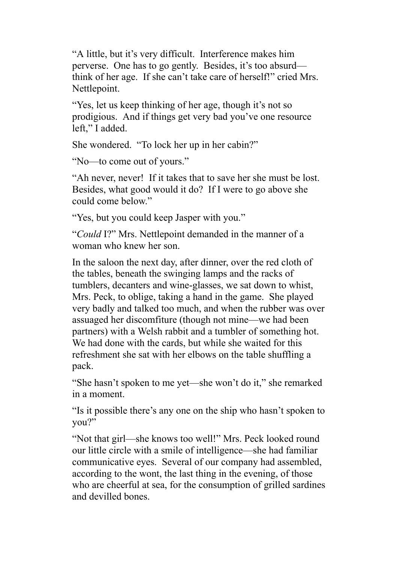"A little, but it's very difficult. Interference makes him perverse. One has to go gently. Besides, it's too absurd think of her age. If she can't take care of herself!" cried Mrs. Nettlepoint.

"Yes, let us keep thinking of her age, though it's not so prodigious. And if things get very bad you've one resource left," I added.

She wondered. "To lock her up in her cabin?"

"No—to come out of yours."

"Ah never, never! If it takes that to save her she must be lost. Besides, what good would it do? If I were to go above she could come below."

"Yes, but you could keep Jasper with you."

"*Could* I?" Mrs. Nettlepoint demanded in the manner of a woman who knew her son.

In the saloon the next day, after dinner, over the red cloth of the tables, beneath the swinging lamps and the racks of tumblers, decanters and wine-glasses, we sat down to whist, Mrs. Peck, to oblige, taking a hand in the game. She played very badly and talked too much, and when the rubber was over assuaged her discomfiture (though not mine—we had been partners) with a Welsh rabbit and a tumbler of something hot. We had done with the cards, but while she waited for this refreshment she sat with her elbows on the table shuffling a pack.

"She hasn't spoken to me yet—she won't do it," she remarked in a moment.

"Is it possible there's any one on the ship who hasn't spoken to you?"

"Not that girl—she knows too well!" Mrs. Peck looked round our little circle with a smile of intelligence—she had familiar communicative eyes. Several of our company had assembled, according to the wont, the last thing in the evening, of those who are cheerful at sea, for the consumption of grilled sardines and devilled bones.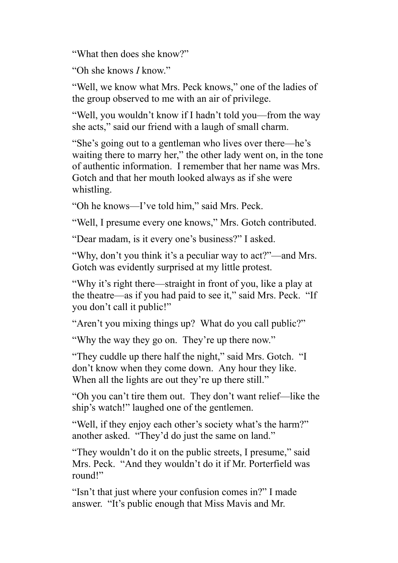"What then does she know?"

"Oh she knows *I* know."

"Well, we know what Mrs. Peck knows," one of the ladies of the group observed to me with an air of privilege.

"Well, you wouldn't know if I hadn't told you—from the way she acts," said our friend with a laugh of small charm.

"She's going out to a gentleman who lives over there—he's waiting there to marry her," the other lady went on, in the tone of authentic information. I remember that her name was Mrs. Gotch and that her mouth looked always as if she were whistling.

"Oh he knows—I've told him," said Mrs. Peck.

"Well, I presume every one knows," Mrs. Gotch contributed.

"Dear madam, is it every one's business?" I asked.

"Why, don't you think it's a peculiar way to act?"—and Mrs. Gotch was evidently surprised at my little protest.

"Why it's right there—straight in front of you, like a play at the theatre—as if you had paid to see it," said Mrs. Peck. "If you don't call it public!"

"Aren't you mixing things up? What do you call public?"

"Why the way they go on. They're up there now."

"They cuddle up there half the night," said Mrs. Gotch. "I don't know when they come down. Any hour they like. When all the lights are out they're up there still."

"Oh you can't tire them out. They don't want relief—like the ship's watch!" laughed one of the gentlemen.

"Well, if they enjoy each other's society what's the harm?" another asked. "They'd do just the same on land."

"They wouldn't do it on the public streets, I presume," said Mrs. Peck. "And they wouldn't do it if Mr. Porterfield was round!"

"Isn't that just where your confusion comes in?" I made answer. "It's public enough that Miss Mavis and Mr.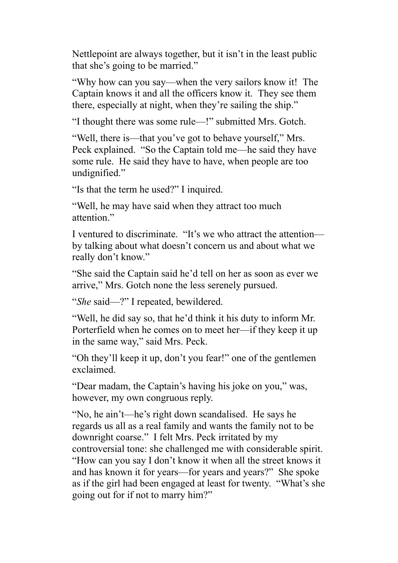Nettlepoint are always together, but it isn't in the least public that she's going to be married."

"Why how can you say—when the very sailors know it! The Captain knows it and all the officers know it. They see them there, especially at night, when they're sailing the ship."

"I thought there was some rule—!" submitted Mrs. Gotch.

"Well, there is—that you've got to behave yourself," Mrs. Peck explained. "So the Captain told me—he said they have some rule. He said they have to have, when people are too undignified."

"Is that the term he used?" I inquired.

"Well, he may have said when they attract too much attention"

I ventured to discriminate. "It's we who attract the attention by talking about what doesn't concern us and about what we really don't know."

"She said the Captain said he'd tell on her as soon as ever we arrive," Mrs. Gotch none the less serenely pursued.

"*She* said—?" I repeated, bewildered.

"Well, he did say so, that he'd think it his duty to inform Mr. Porterfield when he comes on to meet her—if they keep it up in the same way," said Mrs. Peck.

"Oh they'll keep it up, don't you fear!" one of the gentlemen exclaimed.

"Dear madam, the Captain's having his joke on you," was, however, my own congruous reply.

"No, he ain't—he's right down scandalised. He says he regards us all as a real family and wants the family not to be downright coarse." I felt Mrs. Peck irritated by my controversial tone: she challenged me with considerable spirit. "How can you say I don't know it when all the street knows it and has known it for years—for years and years?" She spoke as if the girl had been engaged at least for twenty. "What's she going out for if not to marry him?"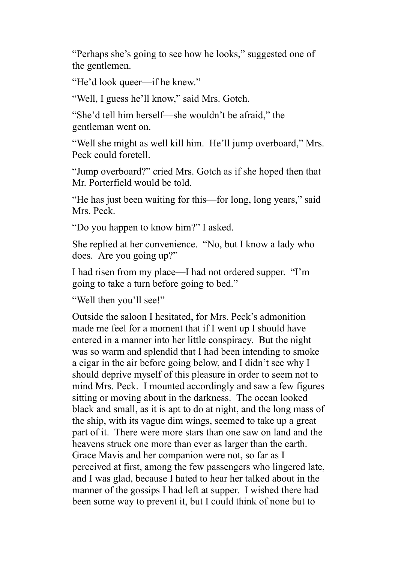"Perhaps she's going to see how he looks," suggested one of the gentlemen.

"He'd look queer—if he knew."

"Well, I guess he'll know," said Mrs. Gotch.

"She'd tell him herself—she wouldn't be afraid," the gentleman went on.

"Well she might as well kill him. He'll jump overboard," Mrs. Peck could foretell.

"Jump overboard?" cried Mrs. Gotch as if she hoped then that Mr. Porterfield would be told.

"He has just been waiting for this—for long, long years," said Mrs. Peck.

"Do you happen to know him?" I asked.

She replied at her convenience. "No, but I know a lady who does. Are you going up?"

I had risen from my place—I had not ordered supper. "I'm going to take a turn before going to bed."

"Well then you'll see!"

Outside the saloon I hesitated, for Mrs. Peck's admonition made me feel for a moment that if I went up I should have entered in a manner into her little conspiracy. But the night was so warm and splendid that I had been intending to smoke a cigar in the air before going below, and I didn't see why I should deprive myself of this pleasure in order to seem not to mind Mrs. Peck. I mounted accordingly and saw a few figures sitting or moving about in the darkness. The ocean looked black and small, as it is apt to do at night, and the long mass of the ship, with its vague dim wings, seemed to take up a great part of it. There were more stars than one saw on land and the heavens struck one more than ever as larger than the earth. Grace Mavis and her companion were not, so far as I perceived at first, among the few passengers who lingered late, and I was glad, because I hated to hear her talked about in the manner of the gossips I had left at supper. I wished there had been some way to prevent it, but I could think of none but to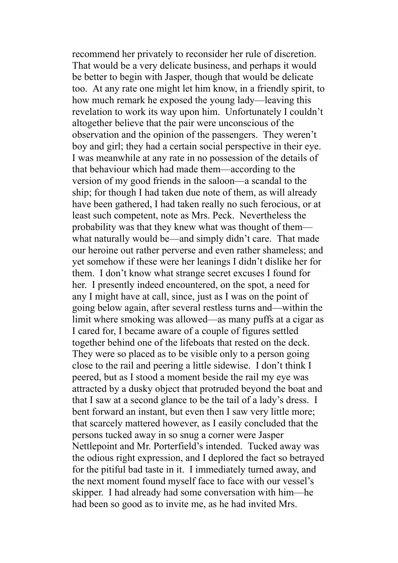recommend her privately to reconsider her rule of discretion. That would be a very delicate business, and perhaps it would be better to begin with Jasper, though that would be delicate too. At any rate one might let him know, in a friendly spirit, to how much remark he exposed the young lady—leaving this revelation to work its way upon him. Unfortunately I couldn't altogether believe that the pair were unconscious of the observation and the opinion of the passengers. They weren't boy and girl; they had a certain social perspective in their eye. I was meanwhile at any rate in no possession of the details of that behaviour which had made them—according to the version of my good friends in the saloon—a scandal to the ship; for though I had taken due note of them, as will already have been gathered, I had taken really no such ferocious, or at least such competent, note as Mrs. Peck. Nevertheless the probability was that they knew what was thought of them what naturally would be—and simply didn't care. That made our heroine out rather perverse and even rather shameless; and yet somehow if these were her leanings I didn't dislike her for them. I don't know what strange secret excuses I found for her. I presently indeed encountered, on the spot, a need for any I might have at call, since, just as I was on the point of going below again, after several restless turns and—within the limit where smoking was allowed—as many puffs at a cigar as I cared for, I became aware of a couple of figures settled together behind one of the lifeboats that rested on the deck. They were so placed as to be visible only to a person going close to the rail and peering a little sidewise. I don't think I peered, but as I stood a moment beside the rail my eye was attracted by a dusky object that protruded beyond the boat and that I saw at a second glance to be the tail of a lady's dress. I bent forward an instant, but even then I saw very little more; that scarcely mattered however, as I easily concluded that the persons tucked away in so snug a corner were Jasper Nettlepoint and Mr. Porterfield's intended. Tucked away was the odious right expression, and I deplored the fact so betrayed for the pitiful bad taste in it. I immediately turned away, and the next moment found myself face to face with our vessel's skipper. I had already had some conversation with him—he had been so good as to invite me, as he had invited Mrs.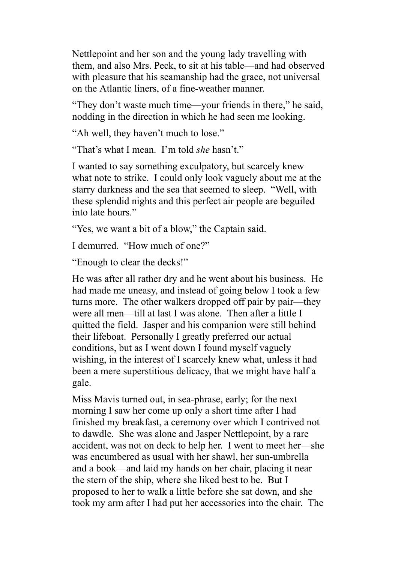Nettlepoint and her son and the young lady travelling with them, and also Mrs. Peck, to sit at his table—and had observed with pleasure that his seamanship had the grace, not universal on the Atlantic liners, of a fine-weather manner.

"They don't waste much time—your friends in there," he said, nodding in the direction in which he had seen me looking.

"Ah well, they haven't much to lose."

"That's what I mean. I'm told *she* hasn't."

I wanted to say something exculpatory, but scarcely knew what note to strike. I could only look vaguely about me at the starry darkness and the sea that seemed to sleep. "Well, with these splendid nights and this perfect air people are beguiled into late hours."

"Yes, we want a bit of a blow," the Captain said.

I demurred. "How much of one?"

"Enough to clear the decks!"

He was after all rather dry and he went about his business. He had made me uneasy, and instead of going below I took a few turns more. The other walkers dropped off pair by pair—they were all men—till at last I was alone. Then after a little I quitted the field. Jasper and his companion were still behind their lifeboat. Personally I greatly preferred our actual conditions, but as I went down I found myself vaguely wishing, in the interest of I scarcely knew what, unless it had been a mere superstitious delicacy, that we might have half a gale.

Miss Mavis turned out, in sea-phrase, early; for the next morning I saw her come up only a short time after I had finished my breakfast, a ceremony over which I contrived not to dawdle. She was alone and Jasper Nettlepoint, by a rare accident, was not on deck to help her. I went to meet her—she was encumbered as usual with her shawl, her sun-umbrella and a book—and laid my hands on her chair, placing it near the stern of the ship, where she liked best to be. But I proposed to her to walk a little before she sat down, and she took my arm after I had put her accessories into the chair. The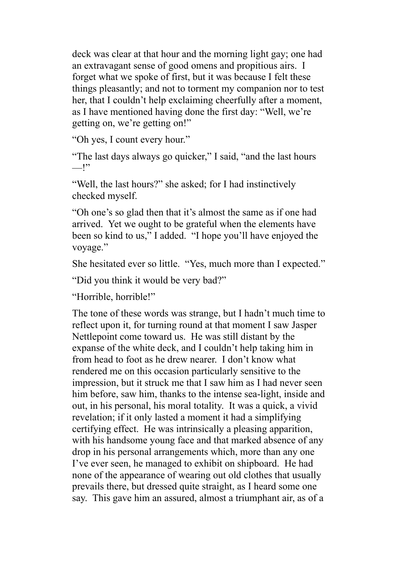deck was clear at that hour and the morning light gay; one had an extravagant sense of good omens and propitious airs. I forget what we spoke of first, but it was because I felt these things pleasantly; and not to torment my companion nor to test her, that I couldn't help exclaiming cheerfully after a moment, as I have mentioned having done the first day: "Well, we're getting on, we're getting on!"

"Oh yes, I count every hour."

"The last days always go quicker," I said, "and the last hours  $"$ 

"Well, the last hours?" she asked; for I had instinctively checked myself.

"Oh one's so glad then that it's almost the same as if one had arrived. Yet we ought to be grateful when the elements have been so kind to us," I added. "I hope you'll have enjoyed the voyage."

She hesitated ever so little. "Yes, much more than I expected."

"Did you think it would be very bad?"

"Horrible, horrible!"

The tone of these words was strange, but I hadn't much time to reflect upon it, for turning round at that moment I saw Jasper Nettlepoint come toward us. He was still distant by the expanse of the white deck, and I couldn't help taking him in from head to foot as he drew nearer. I don't know what rendered me on this occasion particularly sensitive to the impression, but it struck me that I saw him as I had never seen him before, saw him, thanks to the intense sea-light, inside and out, in his personal, his moral totality. It was a quick, a vivid revelation; if it only lasted a moment it had a simplifying certifying effect. He was intrinsically a pleasing apparition, with his handsome young face and that marked absence of any drop in his personal arrangements which, more than any one I've ever seen, he managed to exhibit on shipboard. He had none of the appearance of wearing out old clothes that usually prevails there, but dressed quite straight, as I heard some one say. This gave him an assured, almost a triumphant air, as of a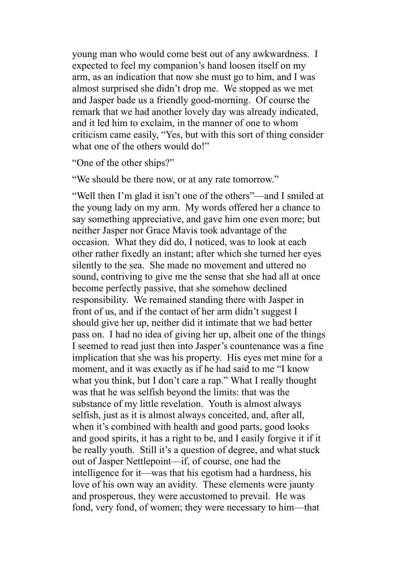young man who would come best out of any awkwardness. I expected to feel my companion's hand loosen itself on my arm, as an indication that now she must go to him, and I was almost surprised she didn't drop me. We stopped as we met and Jasper bade us a friendly good-morning. Of course the remark that we had another lovely day was already indicated, and it led him to exclaim, in the manner of one to whom criticism came easily, "Yes, but with this sort of thing consider what one of the others would do!"

"One of the other ships?"

"We should be there now, or at any rate tomorrow."

"Well then I'm glad it isn't one of the others"—and I smiled at the young lady on my arm. My words offered her a chance to say something appreciative, and gave him one even more; but neither Jasper nor Grace Mavis took advantage of the occasion. What they did do, I noticed, was to look at each other rather fixedly an instant; after which she turned her eyes silently to the sea. She made no movement and uttered no sound, contriving to give me the sense that she had all at once become perfectly passive, that she somehow declined responsibility. We remained standing there with Jasper in front of us, and if the contact of her arm didn't suggest I should give her up, neither did it intimate that we had better pass on. I had no idea of giving her up, albeit one of the things I seemed to read just then into Jasper's countenance was a fine implication that she was his property. His eyes met mine for a moment, and it was exactly as if he had said to me "I know what you think, but I don't care a rap." What I really thought was that he was selfish beyond the limits: that was the substance of my little revelation. Youth is almost always selfish, just as it is almost always conceited, and, after all, when it's combined with health and good parts, good looks and good spirits, it has a right to be, and I easily forgive it if it be really youth. Still it's a question of degree, and what stuck out of Jasper Nettlepoint—if, of course, one had the intelligence for it—was that his egotism had a hardness, his love of his own way an avidity. These elements were jaunty and prosperous, they were accustomed to prevail. He was fond, very fond, of women; they were necessary to him—that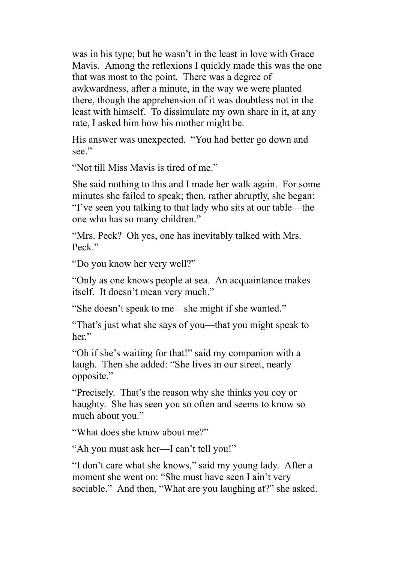was in his type; but he wasn't in the least in love with Grace Mavis. Among the reflexions I quickly made this was the one that was most to the point. There was a degree of awkwardness, after a minute, in the way we were planted there, though the apprehension of it was doubtless not in the least with himself. To dissimulate my own share in it, at any rate, I asked him how his mother might be.

His answer was unexpected. "You had better go down and see."

"Not till Miss Mavis is tired of me."

She said nothing to this and I made her walk again. For some minutes she failed to speak; then, rather abruptly, she began: "I've seen you talking to that lady who sits at our table—the one who has so many children."

"Mrs. Peck? Oh yes, one has inevitably talked with Mrs. Peck"

"Do you know her very well?"

"Only as one knows people at sea. An acquaintance makes itself. It doesn't mean very much."

"She doesn't speak to me—she might if she wanted."

"That's just what she says of you—that you might speak to her."

"Oh if she's waiting for that!" said my companion with a laugh. Then she added: "She lives in our street, nearly opposite."

"Precisely. That's the reason why she thinks you coy or haughty. She has seen you so often and seems to know so much about you."

"What does she know about me?"

"Ah you must ask her—I can't tell you!"

"I don't care what she knows," said my young lady. After a moment she went on: "She must have seen I ain't very sociable." And then, "What are you laughing at?" she asked.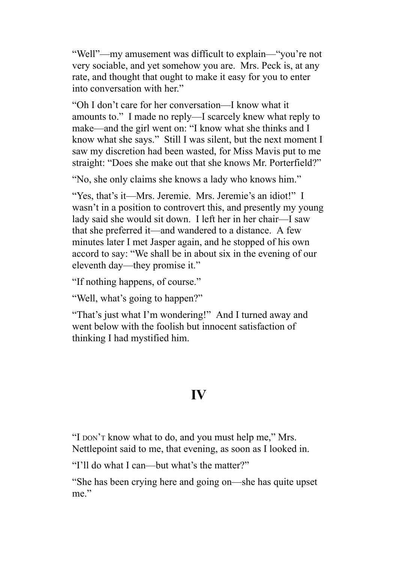"Well"—my amusement was difficult to explain—"you're not very sociable, and yet somehow you are. Mrs. Peck is, at any rate, and thought that ought to make it easy for you to enter into conversation with her."

"Oh I don't care for her conversation—I know what it amounts to." I made no reply—I scarcely knew what reply to make—and the girl went on: "I know what she thinks and I know what she says." Still I was silent, but the next moment I saw my discretion had been wasted, for Miss Mavis put to me straight: "Does she make out that she knows Mr. Porterfield?"

"No, she only claims she knows a lady who knows him."

"Yes, that's it—Mrs. Jeremie. Mrs. Jeremie's an idiot!" I wasn't in a position to controvert this, and presently my young lady said she would sit down. I left her in her chair—I saw that she preferred it—and wandered to a distance. A few minutes later I met Jasper again, and he stopped of his own accord to say: "We shall be in about six in the evening of our eleventh day—they promise it."

"If nothing happens, of course."

"Well, what's going to happen?"

"That's just what I'm wondering!" And I turned away and went below with the foolish but innocent satisfaction of thinking I had mystified him.

## **IV**

"I DON'T know what to do, and you must help me," Mrs. Nettlepoint said to me, that evening, as soon as I looked in.

"I'll do what I can—but what's the matter?"

"She has been crying here and going on—she has quite upset me."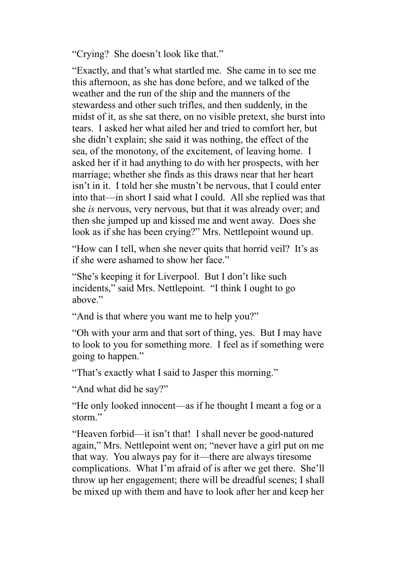"Crying? She doesn't look like that."

"Exactly, and that's what startled me. She came in to see me this afternoon, as she has done before, and we talked of the weather and the run of the ship and the manners of the stewardess and other such trifles, and then suddenly, in the midst of it, as she sat there, on no visible pretext, she burst into tears. I asked her what ailed her and tried to comfort her, but she didn't explain; she said it was nothing, the effect of the sea, of the monotony, of the excitement, of leaving home. I asked her if it had anything to do with her prospects, with her marriage; whether she finds as this draws near that her heart isn't in it. I told her she mustn't be nervous, that I could enter into that—in short I said what I could. All she replied was that she *is* nervous, very nervous, but that it was already over; and then she jumped up and kissed me and went away. Does she look as if she has been crying?" Mrs. Nettlepoint wound up.

"How can I tell, when she never quits that horrid veil? It's as if she were ashamed to show her face."

"She's keeping it for Liverpool. But I don't like such incidents," said Mrs. Nettlepoint. "I think I ought to go above."

"And is that where you want me to help you?"

"Oh with your arm and that sort of thing, yes. But I may have to look to you for something more. I feel as if something were going to happen."

"That's exactly what I said to Jasper this morning."

"And what did he say?"

"He only looked innocent—as if he thought I meant a fog or a storm."

"Heaven forbid—it isn't that! I shall never be good-natured again," Mrs. Nettlepoint went on; "never have a girl put on me that way. You always pay for it—there are always tiresome complications. What I'm afraid of is after we get there. She'll throw up her engagement; there will be dreadful scenes; I shall be mixed up with them and have to look after her and keep her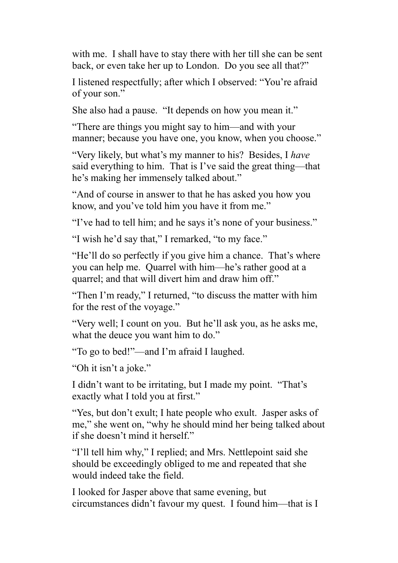with me. I shall have to stay there with her till she can be sent back, or even take her up to London. Do you see all that?"

I listened respectfully; after which I observed: "You're afraid of your son."

She also had a pause. "It depends on how you mean it."

"There are things you might say to him—and with your manner; because you have one, you know, when you choose."

"Very likely, but what's my manner to his? Besides, I *have* said everything to him. That is I've said the great thing—that he's making her immensely talked about."

"And of course in answer to that he has asked you how you know, and you've told him you have it from me."

"I've had to tell him; and he says it's none of your business."

"I wish he'd say that," I remarked, "to my face."

"He'll do so perfectly if you give him a chance. That's where you can help me. Quarrel with him—he's rather good at a quarrel; and that will divert him and draw him off."

"Then I'm ready," I returned, "to discuss the matter with him for the rest of the voyage."

"Very well; I count on you. But he'll ask you, as he asks me, what the deuce you want him to do."

"To go to bed!"—and I'm afraid I laughed.

"Oh it isn't a joke."

I didn't want to be irritating, but I made my point. "That's exactly what I told you at first."

"Yes, but don't exult; I hate people who exult. Jasper asks of me," she went on, "why he should mind her being talked about if she doesn't mind it herself."

"I'll tell him why," I replied; and Mrs. Nettlepoint said she should be exceedingly obliged to me and repeated that she would indeed take the field.

I looked for Jasper above that same evening, but circumstances didn't favour my quest. I found him—that is I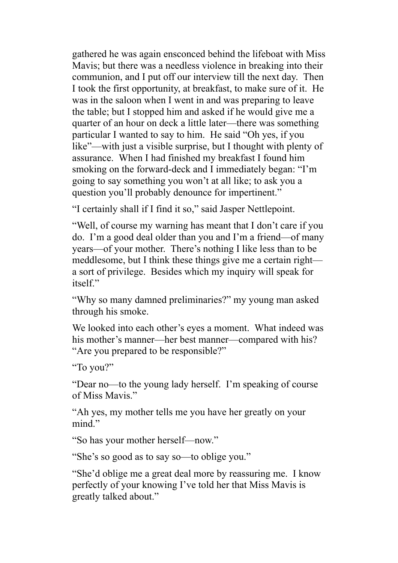gathered he was again ensconced behind the lifeboat with Miss Mavis; but there was a needless violence in breaking into their communion, and I put off our interview till the next day. Then I took the first opportunity, at breakfast, to make sure of it. He was in the saloon when I went in and was preparing to leave the table; but I stopped him and asked if he would give me a quarter of an hour on deck a little later—there was something particular I wanted to say to him. He said "Oh yes, if you like"—with just a visible surprise, but I thought with plenty of assurance. When I had finished my breakfast I found him smoking on the forward-deck and I immediately began: "I'm going to say something you won't at all like; to ask you a question you'll probably denounce for impertinent."

"I certainly shall if I find it so," said Jasper Nettlepoint.

"Well, of course my warning has meant that I don't care if you do. I'm a good deal older than you and I'm a friend—of many years—of your mother. There's nothing I like less than to be meddlesome, but I think these things give me a certain right a sort of privilege. Besides which my inquiry will speak for itself"

"Why so many damned preliminaries?" my young man asked through his smoke.

We looked into each other's eyes a moment. What indeed was his mother's manner—her best manner—compared with his? "Are you prepared to be responsible?"

"To you?"

"Dear no—to the young lady herself. I'm speaking of course of Miss Mavis."

"Ah yes, my mother tells me you have her greatly on your mind."

"So has your mother herself—now."

"She's so good as to say so—to oblige you."

"She'd oblige me a great deal more by reassuring me. I know perfectly of your knowing I've told her that Miss Mavis is greatly talked about."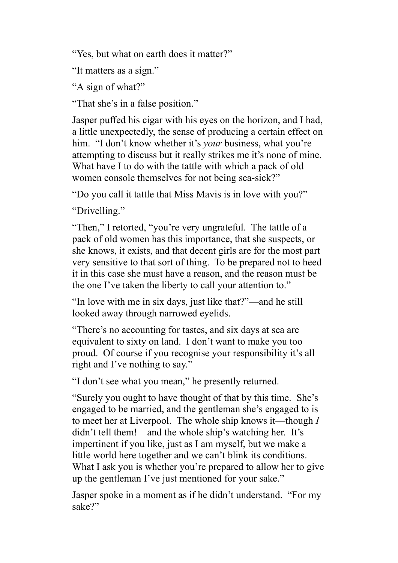"Yes, but what on earth does it matter?"

"It matters as a sign."

"A sign of what?"

"That she's in a false position."

Jasper puffed his cigar with his eyes on the horizon, and I had, a little unexpectedly, the sense of producing a certain effect on him. "I don't know whether it's *your* business, what you're attempting to discuss but it really strikes me it's none of mine. What have I to do with the tattle with which a pack of old women console themselves for not being sea-sick?"

"Do you call it tattle that Miss Mavis is in love with you?"

"Drivelling."

"Then," I retorted, "you're very ungrateful. The tattle of a pack of old women has this importance, that she suspects, or she knows, it exists, and that decent girls are for the most part very sensitive to that sort of thing. To be prepared not to heed it in this case she must have a reason, and the reason must be the one I've taken the liberty to call your attention to."

"In love with me in six days, just like that?"—and he still looked away through narrowed eyelids.

"There's no accounting for tastes, and six days at sea are equivalent to sixty on land. I don't want to make you too proud. Of course if you recognise your responsibility it's all right and I've nothing to say."

"I don't see what you mean," he presently returned.

"Surely you ought to have thought of that by this time. She's engaged to be married, and the gentleman she's engaged to is to meet her at Liverpool. The whole ship knows it—though *I* didn't tell them!—and the whole ship's watching her. It's impertinent if you like, just as I am myself, but we make a little world here together and we can't blink its conditions. What I ask you is whether you're prepared to allow her to give up the gentleman I've just mentioned for your sake."

Jasper spoke in a moment as if he didn't understand. "For my sake?"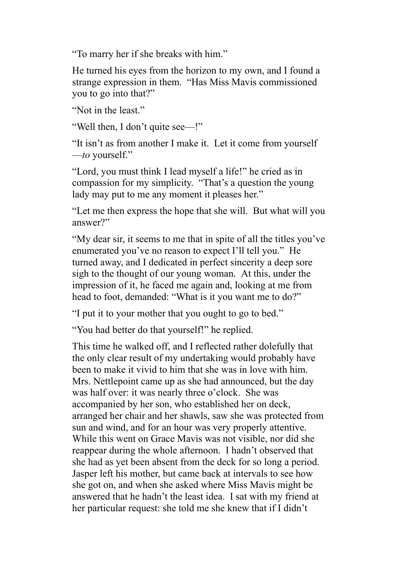"To marry her if she breaks with him."

He turned his eyes from the horizon to my own, and I found a strange expression in them. "Has Miss Mavis commissioned you to go into that?"

"Not in the least."

"Well then, I don't quite see—!"

"It isn't as from another I make it. Let it come from yourself —*to* yourself."

"Lord, you must think I lead myself a life!" he cried as in compassion for my simplicity. "That's a question the young lady may put to me any moment it pleases her."

"Let me then express the hope that she will. But what will you answer?"

"My dear sir, it seems to me that in spite of all the titles you've enumerated you've no reason to expect I'll tell you." He turned away, and I dedicated in perfect sincerity a deep sore sigh to the thought of our young woman. At this, under the impression of it, he faced me again and, looking at me from head to foot, demanded: "What is it you want me to do?"

"I put it to your mother that you ought to go to bed."

"You had better do that yourself!" he replied.

This time he walked off, and I reflected rather dolefully that the only clear result of my undertaking would probably have been to make it vivid to him that she was in love with him. Mrs. Nettlepoint came up as she had announced, but the day was half over: it was nearly three o'clock. She was accompanied by her son, who established her on deck, arranged her chair and her shawls, saw she was protected from sun and wind, and for an hour was very properly attentive. While this went on Grace Mavis was not visible, nor did she reappear during the whole afternoon. I hadn't observed that she had as yet been absent from the deck for so long a period. Jasper left his mother, but came back at intervals to see how she got on, and when she asked where Miss Mavis might be answered that he hadn't the least idea. I sat with my friend at her particular request: she told me she knew that if I didn't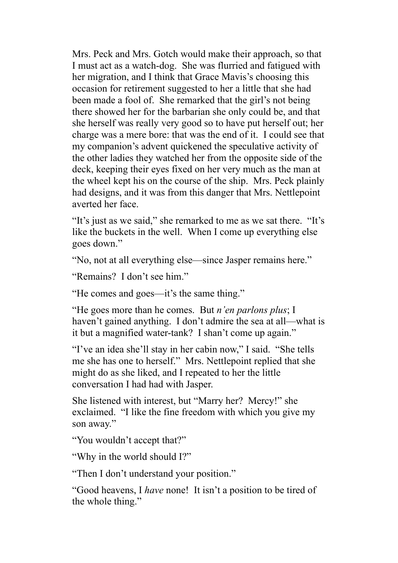Mrs. Peck and Mrs. Gotch would make their approach, so that I must act as a watch-dog. She was flurried and fatigued with her migration, and I think that Grace Mavis's choosing this occasion for retirement suggested to her a little that she had been made a fool of. She remarked that the girl's not being there showed her for the barbarian she only could be, and that she herself was really very good so to have put herself out; her charge was a mere bore: that was the end of it. I could see that my companion's advent quickened the speculative activity of the other ladies they watched her from the opposite side of the deck, keeping their eyes fixed on her very much as the man at the wheel kept his on the course of the ship. Mrs. Peck plainly had designs, and it was from this danger that Mrs. Nettlepoint averted her face.

"It's just as we said," she remarked to me as we sat there. "It's like the buckets in the well. When I come up everything else goes down."

"No, not at all everything else—since Jasper remains here."

"Remains? I don't see him."

"He comes and goes—it's the same thing."

"He goes more than he comes. But *n'en parlons plus*; I haven't gained anything. I don't admire the sea at all—what is it but a magnified water-tank? I shan't come up again."

"I've an idea she'll stay in her cabin now," I said. "She tells me she has one to herself." Mrs. Nettlepoint replied that she might do as she liked, and I repeated to her the little conversation I had had with Jasper.

She listened with interest, but "Marry her? Mercy!" she exclaimed. "I like the fine freedom with which you give my son away."

"You wouldn't accept that?"

"Why in the world should I?"

"Then I don't understand your position."

"Good heavens, I *have* none! It isn't a position to be tired of the whole thing."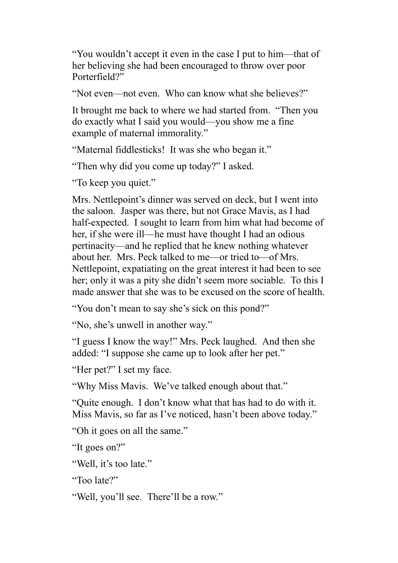"You wouldn't accept it even in the case I put to him—that of her believing she had been encouraged to throw over poor Porterfield?"

"Not even—not even. Who can know what she believes?"

It brought me back to where we had started from. "Then you do exactly what I said you would—you show me a fine example of maternal immorality."

"Maternal fiddlesticks! It was she who began it."

"Then why did you come up today?" I asked.

"To keep you quiet."

Mrs. Nettlepoint's dinner was served on deck, but I went into the saloon. Jasper was there, but not Grace Mavis, as I had half-expected. I sought to learn from him what had become of her, if she were ill—he must have thought I had an odious pertinacity—and he replied that he knew nothing whatever about her. Mrs. Peck talked to me—or tried to—of Mrs. Nettlepoint, expatiating on the great interest it had been to see her; only it was a pity she didn't seem more sociable. To this I made answer that she was to be excused on the score of health.

"You don't mean to say she's sick on this pond?"

"No, she's unwell in another way."

"I guess I know the way!" Mrs. Peck laughed. And then she added: "I suppose she came up to look after her pet."

"Her pet?" I set my face.

"Why Miss Mavis. We've talked enough about that."

"Quite enough. I don't know what that has had to do with it. Miss Mavis, so far as I've noticed, hasn't been above today."

"Oh it goes on all the same."

"It goes on?"

"Well, it's too late."

"Too late?"

"Well, you'll see. There'll be a row."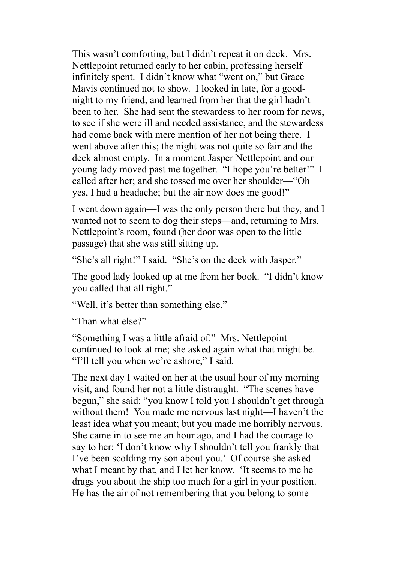This wasn't comforting, but I didn't repeat it on deck. Mrs. Nettlepoint returned early to her cabin, professing herself infinitely spent. I didn't know what "went on," but Grace Mavis continued not to show. I looked in late, for a goodnight to my friend, and learned from her that the girl hadn't been to her. She had sent the stewardess to her room for news, to see if she were ill and needed assistance, and the stewardess had come back with mere mention of her not being there. I went above after this; the night was not quite so fair and the deck almost empty. In a moment Jasper Nettlepoint and our young lady moved past me together. "I hope you're better!" I called after her; and she tossed me over her shoulder—"Oh yes, I had a headache; but the air now does me good!"

I went down again—I was the only person there but they, and I wanted not to seem to dog their steps—and, returning to Mrs. Nettlepoint's room, found (her door was open to the little passage) that she was still sitting up.

"She's all right!" I said. "She's on the deck with Jasper."

The good lady looked up at me from her book. "I didn't know you called that all right."

"Well, it's better than something else."

"Than what else?"

"Something I was a little afraid of." Mrs. Nettlepoint continued to look at me; she asked again what that might be. "I'll tell you when we're ashore," I said.

The next day I waited on her at the usual hour of my morning visit, and found her not a little distraught. "The scenes have begun," she said; "you know I told you I shouldn't get through without them! You made me nervous last night—I haven't the least idea what you meant; but you made me horribly nervous. She came in to see me an hour ago, and I had the courage to say to her: 'I don't know why I shouldn't tell you frankly that I've been scolding my son about you.' Of course she asked what I meant by that, and I let her know. 'It seems to me he drags you about the ship too much for a girl in your position. He has the air of not remembering that you belong to some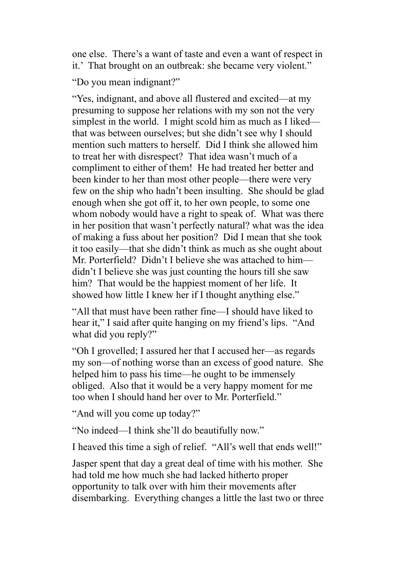one else. There's a want of taste and even a want of respect in it.' That brought on an outbreak: she became very violent."

"Do you mean indignant?"

"Yes, indignant, and above all flustered and excited—at my presuming to suppose her relations with my son not the very simplest in the world. I might scold him as much as I liked that was between ourselves; but she didn't see why I should mention such matters to herself. Did I think she allowed him to treat her with disrespect? That idea wasn't much of a compliment to either of them! He had treated her better and been kinder to her than most other people—there were very few on the ship who hadn't been insulting. She should be glad enough when she got off it, to her own people, to some one whom nobody would have a right to speak of. What was there in her position that wasn't perfectly natural? what was the idea of making a fuss about her position? Did I mean that she took it too easily—that she didn't think as much as she ought about Mr. Porterfield? Didn't I believe she was attached to him didn't I believe she was just counting the hours till she saw him? That would be the happiest moment of her life. It showed how little I knew her if I thought anything else."

"All that must have been rather fine—I should have liked to hear it," I said after quite hanging on my friend's lips. "And what did you reply?"

"Oh I grovelled; I assured her that I accused her—as regards my son—of nothing worse than an excess of good nature. She helped him to pass his time—he ought to be immensely obliged. Also that it would be a very happy moment for me too when I should hand her over to Mr. Porterfield."

"And will you come up today?"

"No indeed—I think she'll do beautifully now."

I heaved this time a sigh of relief. "All's well that ends well!"

Jasper spent that day a great deal of time with his mother. She had told me how much she had lacked hitherto proper opportunity to talk over with him their movements after disembarking. Everything changes a little the last two or three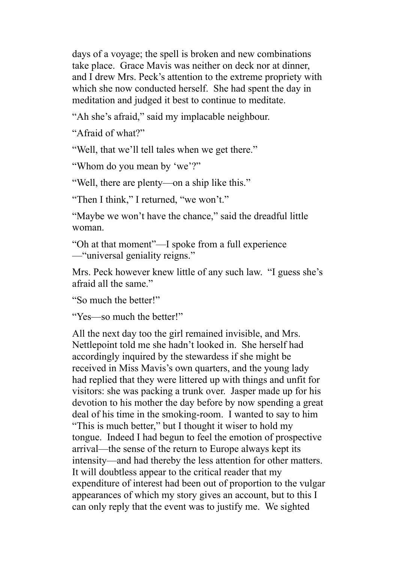days of a voyage; the spell is broken and new combinations take place. Grace Mavis was neither on deck nor at dinner, and I drew Mrs. Peck's attention to the extreme propriety with which she now conducted herself. She had spent the day in meditation and judged it best to continue to meditate.

"Ah she's afraid," said my implacable neighbour.

"Afraid of what?"

"Well, that we'll tell tales when we get there."

"Whom do you mean by 'we'?"

"Well, there are plenty—on a ship like this."

"Then I think," I returned, "we won't."

"Maybe we won't have the chance," said the dreadful little woman.

"Oh at that moment"—I spoke from a full experience —"universal geniality reigns."

Mrs. Peck however knew little of any such law. "I guess she's afraid all the same."

"So much the better!"

"Yes—so much the better!"

All the next day too the girl remained invisible, and Mrs. Nettlepoint told me she hadn't looked in. She herself had accordingly inquired by the stewardess if she might be received in Miss Mavis's own quarters, and the young lady had replied that they were littered up with things and unfit for visitors: she was packing a trunk over. Jasper made up for his devotion to his mother the day before by now spending a great deal of his time in the smoking-room. I wanted to say to him "This is much better," but I thought it wiser to hold my tongue. Indeed I had begun to feel the emotion of prospective arrival—the sense of the return to Europe always kept its intensity—and had thereby the less attention for other matters. It will doubtless appear to the critical reader that my expenditure of interest had been out of proportion to the vulgar appearances of which my story gives an account, but to this I can only reply that the event was to justify me. We sighted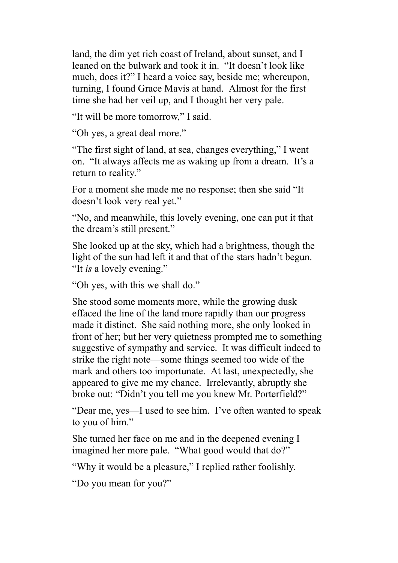land, the dim yet rich coast of Ireland, about sunset, and I leaned on the bulwark and took it in. "It doesn't look like much, does it?" I heard a voice say, beside me; whereupon, turning, I found Grace Mavis at hand. Almost for the first time she had her veil up, and I thought her very pale.

"It will be more tomorrow," I said.

"Oh yes, a great deal more."

"The first sight of land, at sea, changes everything," I went on. "It always affects me as waking up from a dream. It's a return to reality."

For a moment she made me no response; then she said "It doesn't look very real yet."

"No, and meanwhile, this lovely evening, one can put it that the dream's still present."

She looked up at the sky, which had a brightness, though the light of the sun had left it and that of the stars hadn't begun. "It *is* a lovely evening."

"Oh yes, with this we shall do."

She stood some moments more, while the growing dusk effaced the line of the land more rapidly than our progress made it distinct. She said nothing more, she only looked in front of her; but her very quietness prompted me to something suggestive of sympathy and service. It was difficult indeed to strike the right note—some things seemed too wide of the mark and others too importunate. At last, unexpectedly, she appeared to give me my chance. Irrelevantly, abruptly she broke out: "Didn't you tell me you knew Mr. Porterfield?"

"Dear me, yes—I used to see him. I've often wanted to speak to you of him."

She turned her face on me and in the deepened evening I imagined her more pale. "What good would that do?"

"Why it would be a pleasure," I replied rather foolishly.

"Do you mean for you?"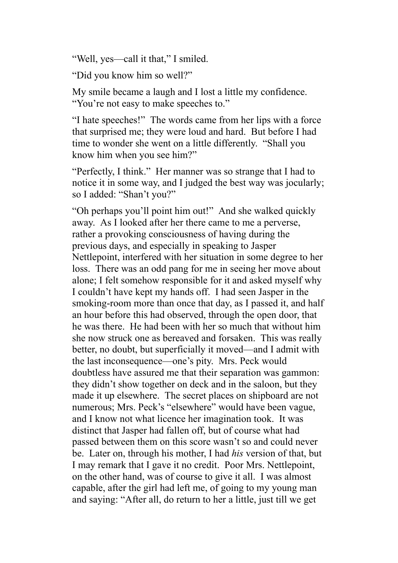"Well, yes—call it that," I smiled.

"Did you know him so well?"

My smile became a laugh and I lost a little my confidence. "You're not easy to make speeches to."

"I hate speeches!" The words came from her lips with a force that surprised me; they were loud and hard. But before I had time to wonder she went on a little differently. "Shall you know him when you see him?"

"Perfectly, I think." Her manner was so strange that I had to notice it in some way, and I judged the best way was jocularly; so I added: "Shan't you?"

"Oh perhaps you'll point him out!" And she walked quickly away. As I looked after her there came to me a perverse, rather a provoking consciousness of having during the previous days, and especially in speaking to Jasper Nettlepoint, interfered with her situation in some degree to her loss. There was an odd pang for me in seeing her move about alone; I felt somehow responsible for it and asked myself why I couldn't have kept my hands off. I had seen Jasper in the smoking-room more than once that day, as I passed it, and half an hour before this had observed, through the open door, that he was there. He had been with her so much that without him she now struck one as bereaved and forsaken. This was really better, no doubt, but superficially it moved—and I admit with the last inconsequence—one's pity. Mrs. Peck would doubtless have assured me that their separation was gammon: they didn't show together on deck and in the saloon, but they made it up elsewhere. The secret places on shipboard are not numerous; Mrs. Peck's "elsewhere" would have been vague, and I know not what licence her imagination took. It was distinct that Jasper had fallen off, but of course what had passed between them on this score wasn't so and could never be. Later on, through his mother, I had *his* version of that, but I may remark that I gave it no credit. Poor Mrs. Nettlepoint, on the other hand, was of course to give it all. I was almost capable, after the girl had left me, of going to my young man and saying: "After all, do return to her a little, just till we get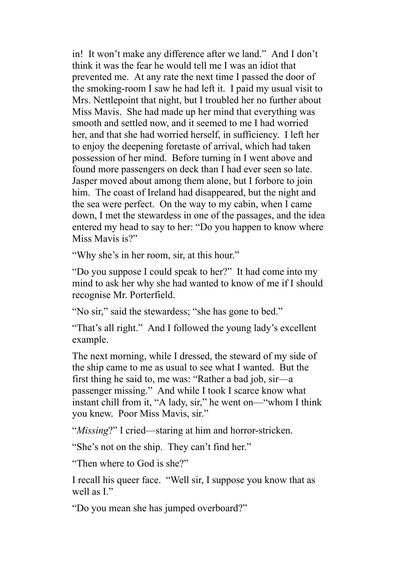in! It won't make any difference after we land." And I don't think it was the fear he would tell me I was an idiot that prevented me. At any rate the next time I passed the door of the smoking-room I saw he had left it. I paid my usual visit to Mrs. Nettlepoint that night, but I troubled her no further about Miss Mavis. She had made up her mind that everything was smooth and settled now, and it seemed to me I had worried her, and that she had worried herself, in sufficiency. I left her to enjoy the deepening foretaste of arrival, which had taken possession of her mind. Before turning in I went above and found more passengers on deck than I had ever seen so late. Jasper moved about among them alone, but I forbore to join him. The coast of Ireland had disappeared, but the night and the sea were perfect. On the way to my cabin, when I came down, I met the stewardess in one of the passages, and the idea entered my head to say to her: "Do you happen to know where Miss Mavis is?"

"Why she's in her room, sir, at this hour."

"Do you suppose I could speak to her?" It had come into my mind to ask her why she had wanted to know of me if I should recognise Mr. Porterfield.

"No sir," said the stewardess; "she has gone to bed."

"That's all right." And I followed the young lady's excellent example.

The next morning, while I dressed, the steward of my side of the ship came to me as usual to see what I wanted. But the first thing he said to, me was: "Rather a bad job, sir—a passenger missing." And while I took I scarce know what instant chill from it, "A lady, sir," he went on—"whom I think you knew. Poor Miss Mavis, sir."

"*Missing*?" I cried—staring at him and horror-stricken.

"She's not on the ship. They can't find her."

"Then where to God is she?"

I recall his queer face. "Well sir, I suppose you know that as well as I"

"Do you mean she has jumped overboard?"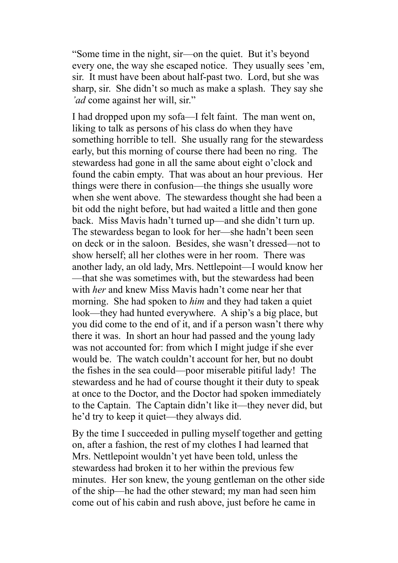"Some time in the night, sir—on the quiet. But it's beyond every one, the way she escaped notice. They usually sees 'em, sir. It must have been about half-past two. Lord, but she was sharp, sir. She didn't so much as make a splash. They say she *'ad* come against her will, sir."

I had dropped upon my sofa—I felt faint. The man went on, liking to talk as persons of his class do when they have something horrible to tell. She usually rang for the stewardess early, but this morning of course there had been no ring. The stewardess had gone in all the same about eight o'clock and found the cabin empty. That was about an hour previous. Her things were there in confusion—the things she usually wore when she went above. The stewardess thought she had been a bit odd the night before, but had waited a little and then gone back. Miss Mavis hadn't turned up—and she didn't turn up. The stewardess began to look for her—she hadn't been seen on deck or in the saloon. Besides, she wasn't dressed—not to show herself; all her clothes were in her room. There was another lady, an old lady, Mrs. Nettlepoint—I would know her —that she was sometimes with, but the stewardess had been with *her* and knew Miss Mavis hadn't come near her that morning. She had spoken to *him* and they had taken a quiet look—they had hunted everywhere. A ship's a big place, but you did come to the end of it, and if a person wasn't there why there it was. In short an hour had passed and the young lady was not accounted for: from which I might judge if she ever would be. The watch couldn't account for her, but no doubt the fishes in the sea could—poor miserable pitiful lady! The stewardess and he had of course thought it their duty to speak at once to the Doctor, and the Doctor had spoken immediately to the Captain. The Captain didn't like it—they never did, but he'd try to keep it quiet—they always did.

By the time I succeeded in pulling myself together and getting on, after a fashion, the rest of my clothes I had learned that Mrs. Nettlepoint wouldn't yet have been told, unless the stewardess had broken it to her within the previous few minutes. Her son knew, the young gentleman on the other side of the ship—he had the other steward; my man had seen him come out of his cabin and rush above, just before he came in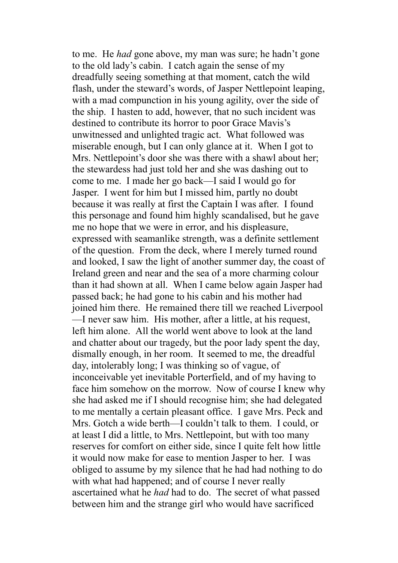to me. He *had* gone above, my man was sure; he hadn't gone to the old lady's cabin. I catch again the sense of my dreadfully seeing something at that moment, catch the wild flash, under the steward's words, of Jasper Nettlepoint leaping, with a mad compunction in his young agility, over the side of the ship. I hasten to add, however, that no such incident was destined to contribute its horror to poor Grace Mavis's unwitnessed and unlighted tragic act. What followed was miserable enough, but I can only glance at it. When I got to Mrs. Nettlepoint's door she was there with a shawl about her; the stewardess had just told her and she was dashing out to come to me. I made her go back—I said I would go for Jasper. I went for him but I missed him, partly no doubt because it was really at first the Captain I was after. I found this personage and found him highly scandalised, but he gave me no hope that we were in error, and his displeasure, expressed with seamanlike strength, was a definite settlement of the question. From the deck, where I merely turned round and looked, I saw the light of another summer day, the coast of Ireland green and near and the sea of a more charming colour than it had shown at all. When I came below again Jasper had passed back; he had gone to his cabin and his mother had joined him there. He remained there till we reached Liverpool —I never saw him. His mother, after a little, at his request, left him alone. All the world went above to look at the land and chatter about our tragedy, but the poor lady spent the day, dismally enough, in her room. It seemed to me, the dreadful day, intolerably long; I was thinking so of vague, of inconceivable yet inevitable Porterfield, and of my having to face him somehow on the morrow. Now of course I knew why she had asked me if I should recognise him; she had delegated to me mentally a certain pleasant office. I gave Mrs. Peck and Mrs. Gotch a wide berth—I couldn't talk to them. I could, or at least I did a little, to Mrs. Nettlepoint, but with too many reserves for comfort on either side, since I quite felt how little it would now make for ease to mention Jasper to her. I was obliged to assume by my silence that he had had nothing to do with what had happened; and of course I never really ascertained what he *had* had to do. The secret of what passed between him and the strange girl who would have sacrificed